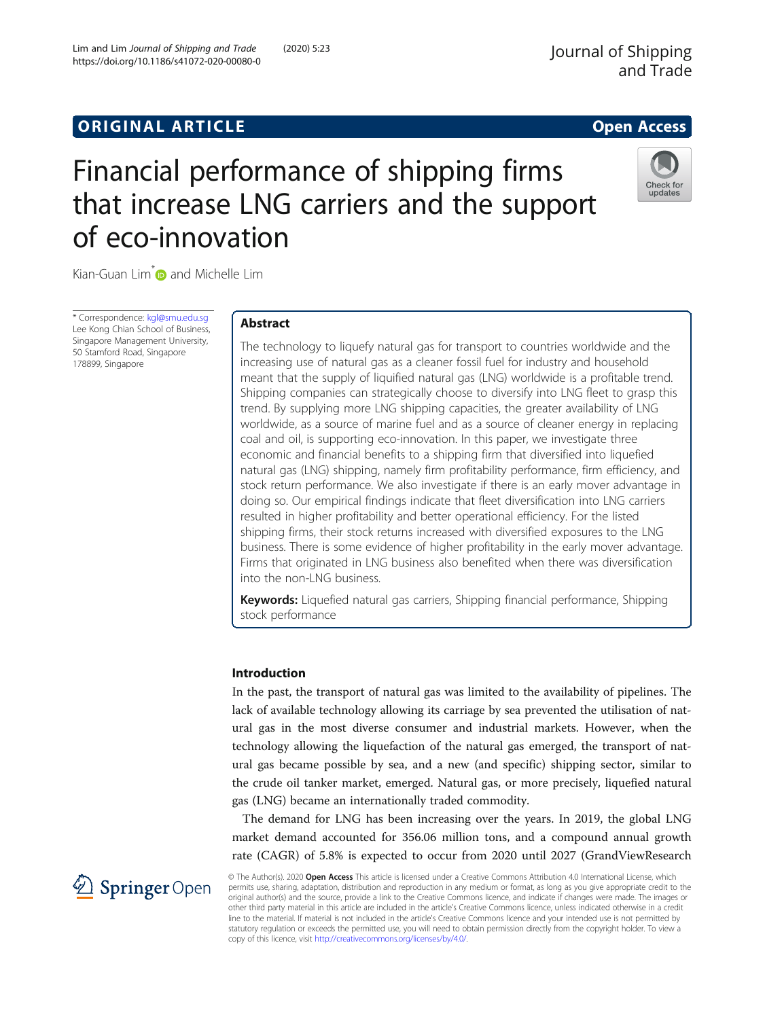https://doi.org/10.1186/s41072-020-00080-0

Lim and Lim Journal of Shipping and Trade (2020) 5:23

# Financial performance of shipping firms that increase LNG carriers and the support of eco-innovation



Kian-Guan Lim<sup>\*</sup> and Michelle Lim

\* Correspondence: [kgl@smu.edu.sg](mailto:kgl@smu.edu.sg) Lee Kong Chian School of Business, Singapore Management University, 50 Stamford Road, Singapore 178899, Singapore

# Abstract

The technology to liquefy natural gas for transport to countries worldwide and the increasing use of natural gas as a cleaner fossil fuel for industry and household meant that the supply of liquified natural gas (LNG) worldwide is a profitable trend. Shipping companies can strategically choose to diversify into LNG fleet to grasp this trend. By supplying more LNG shipping capacities, the greater availability of LNG worldwide, as a source of marine fuel and as a source of cleaner energy in replacing coal and oil, is supporting eco-innovation. In this paper, we investigate three economic and financial benefits to a shipping firm that diversified into liquefied natural gas (LNG) shipping, namely firm profitability performance, firm efficiency, and stock return performance. We also investigate if there is an early mover advantage in doing so. Our empirical findings indicate that fleet diversification into LNG carriers resulted in higher profitability and better operational efficiency. For the listed shipping firms, their stock returns increased with diversified exposures to the LNG business. There is some evidence of higher profitability in the early mover advantage. Firms that originated in LNG business also benefited when there was diversification into the non-LNG business.

Keywords: Liquefied natural gas carriers, Shipping financial performance, Shipping stock performance

## Introduction

In the past, the transport of natural gas was limited to the availability of pipelines. The lack of available technology allowing its carriage by sea prevented the utilisation of natural gas in the most diverse consumer and industrial markets. However, when the technology allowing the liquefaction of the natural gas emerged, the transport of natural gas became possible by sea, and a new (and specific) shipping sector, similar to the crude oil tanker market, emerged. Natural gas, or more precisely, liquefied natural gas (LNG) became an internationally traded commodity.

The demand for LNG has been increasing over the years. In 2019, the global LNG market demand accounted for 356.06 million tons, and a compound annual growth rate (CAGR) of 5.8% is expected to occur from 2020 until 2027 (GrandViewResearch



© The Author(s). 2020 Open Access This article is licensed under a Creative Commons Attribution 4.0 International License, which permits use, sharing, adaptation, distribution and reproduction in any medium or format, as long as you give appropriate credit to the original author(s) and the source, provide a link to the Creative Commons licence, and indicate if changes were made. The images or other third party material in this article are included in the article's Creative Commons licence, unless indicated otherwise in a credit line to the material. If material is not included in the article's Creative Commons licence and your intended use is not permitted by statutory regulation or exceeds the permitted use, you will need to obtain permission directly from the copyright holder. To view a copy of this licence, visit <http://creativecommons.org/licenses/by/4.0/>.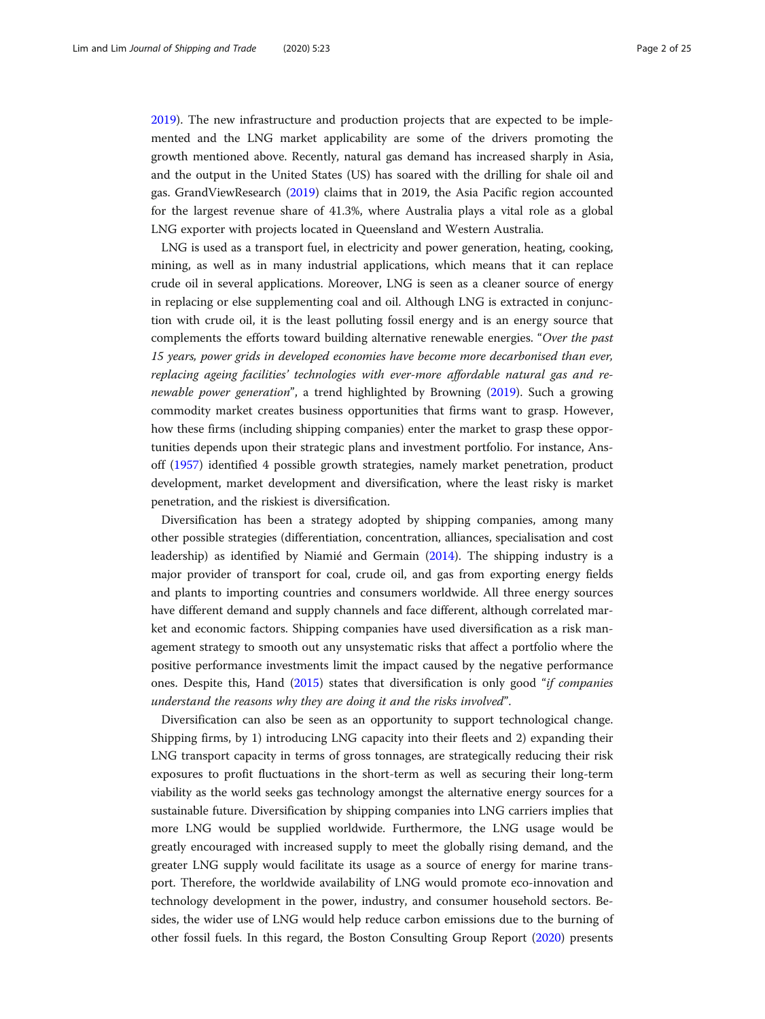[2019](#page-22-0)). The new infrastructure and production projects that are expected to be implemented and the LNG market applicability are some of the drivers promoting the growth mentioned above. Recently, natural gas demand has increased sharply in Asia, and the output in the United States (US) has soared with the drilling for shale oil and gas. GrandViewResearch ([2019\)](#page-22-0) claims that in 2019, the Asia Pacific region accounted for the largest revenue share of 41.3%, where Australia plays a vital role as a global LNG exporter with projects located in Queensland and Western Australia.

LNG is used as a transport fuel, in electricity and power generation, heating, cooking, mining, as well as in many industrial applications, which means that it can replace crude oil in several applications. Moreover, LNG is seen as a cleaner source of energy in replacing or else supplementing coal and oil. Although LNG is extracted in conjunction with crude oil, it is the least polluting fossil energy and is an energy source that complements the efforts toward building alternative renewable energies. "Over the past 15 years, power grids in developed economies have become more decarbonised than ever, replacing ageing facilities' technologies with ever-more affordable natural gas and renewable power generation", a trend highlighted by Browning [\(2019\)](#page-22-0). Such a growing commodity market creates business opportunities that firms want to grasp. However, how these firms (including shipping companies) enter the market to grasp these opportunities depends upon their strategic plans and investment portfolio. For instance, Ansoff ([1957](#page-22-0)) identified 4 possible growth strategies, namely market penetration, product development, market development and diversification, where the least risky is market penetration, and the riskiest is diversification.

Diversification has been a strategy adopted by shipping companies, among many other possible strategies (differentiation, concentration, alliances, specialisation and cost leadership) as identified by Niamié and Germain [\(2014\)](#page-23-0). The shipping industry is a major provider of transport for coal, crude oil, and gas from exporting energy fields and plants to importing countries and consumers worldwide. All three energy sources have different demand and supply channels and face different, although correlated market and economic factors. Shipping companies have used diversification as a risk management strategy to smooth out any unsystematic risks that affect a portfolio where the positive performance investments limit the impact caused by the negative performance ones. Despite this, Hand [\(2015\)](#page-22-0) states that diversification is only good "if companies understand the reasons why they are doing it and the risks involved".

Diversification can also be seen as an opportunity to support technological change. Shipping firms, by 1) introducing LNG capacity into their fleets and 2) expanding their LNG transport capacity in terms of gross tonnages, are strategically reducing their risk exposures to profit fluctuations in the short-term as well as securing their long-term viability as the world seeks gas technology amongst the alternative energy sources for a sustainable future. Diversification by shipping companies into LNG carriers implies that more LNG would be supplied worldwide. Furthermore, the LNG usage would be greatly encouraged with increased supply to meet the globally rising demand, and the greater LNG supply would facilitate its usage as a source of energy for marine transport. Therefore, the worldwide availability of LNG would promote eco-innovation and technology development in the power, industry, and consumer household sectors. Besides, the wider use of LNG would help reduce carbon emissions due to the burning of other fossil fuels. In this regard, the Boston Consulting Group Report [\(2020\)](#page-22-0) presents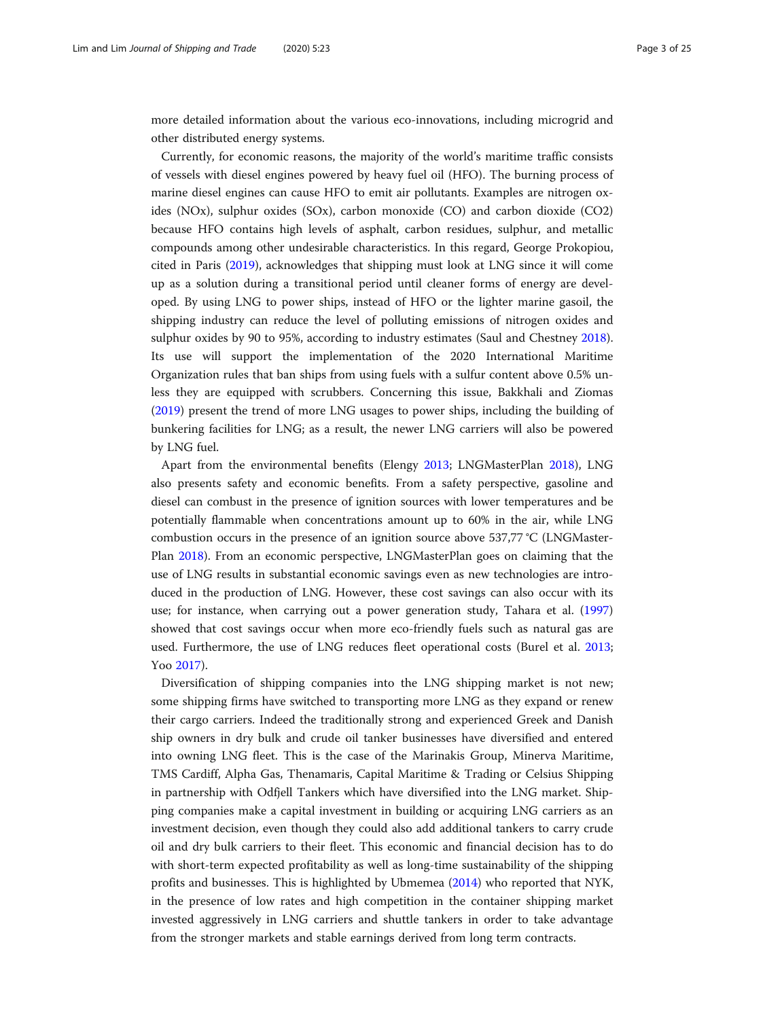more detailed information about the various eco-innovations, including microgrid and other distributed energy systems.

Currently, for economic reasons, the majority of the world's maritime traffic consists of vessels with diesel engines powered by heavy fuel oil (HFO). The burning process of marine diesel engines can cause HFO to emit air pollutants. Examples are nitrogen oxides (NOx), sulphur oxides (SOx), carbon monoxide (CO) and carbon dioxide (CO2) because HFO contains high levels of asphalt, carbon residues, sulphur, and metallic compounds among other undesirable characteristics. In this regard, George Prokopiou, cited in Paris ([2019](#page-23-0)), acknowledges that shipping must look at LNG since it will come up as a solution during a transitional period until cleaner forms of energy are developed. By using LNG to power ships, instead of HFO or the lighter marine gasoil, the shipping industry can reduce the level of polluting emissions of nitrogen oxides and sulphur oxides by 90 to 95%, according to industry estimates (Saul and Chestney [2018](#page-23-0)). Its use will support the implementation of the 2020 International Maritime Organization rules that ban ships from using fuels with a sulfur content above 0.5% unless they are equipped with scrubbers. Concerning this issue, Bakkhali and Ziomas ([2019](#page-22-0)) present the trend of more LNG usages to power ships, including the building of bunkering facilities for LNG; as a result, the newer LNG carriers will also be powered by LNG fuel.

Apart from the environmental benefits (Elengy [2013;](#page-22-0) LNGMasterPlan [2018](#page-23-0)), LNG also presents safety and economic benefits. From a safety perspective, gasoline and diesel can combust in the presence of ignition sources with lower temperatures and be potentially flammable when concentrations amount up to 60% in the air, while LNG combustion occurs in the presence of an ignition source above 537,77 °C (LNGMaster-Plan [2018\)](#page-23-0). From an economic perspective, LNGMasterPlan goes on claiming that the use of LNG results in substantial economic savings even as new technologies are introduced in the production of LNG. However, these cost savings can also occur with its use; for instance, when carrying out a power generation study, Tahara et al. ([1997](#page-23-0)) showed that cost savings occur when more eco-friendly fuels such as natural gas are used. Furthermore, the use of LNG reduces fleet operational costs (Burel et al. [2013](#page-22-0); Yoo [2017\)](#page-24-0).

Diversification of shipping companies into the LNG shipping market is not new; some shipping firms have switched to transporting more LNG as they expand or renew their cargo carriers. Indeed the traditionally strong and experienced Greek and Danish ship owners in dry bulk and crude oil tanker businesses have diversified and entered into owning LNG fleet. This is the case of the Marinakis Group, Minerva Maritime, TMS Cardiff, Alpha Gas, Thenamaris, Capital Maritime & Trading or Celsius Shipping in partnership with Odfjell Tankers which have diversified into the LNG market. Shipping companies make a capital investment in building or acquiring LNG carriers as an investment decision, even though they could also add additional tankers to carry crude oil and dry bulk carriers to their fleet. This economic and financial decision has to do with short-term expected profitability as well as long-time sustainability of the shipping profits and businesses. This is highlighted by Ubmemea [\(2014\)](#page-24-0) who reported that NYK, in the presence of low rates and high competition in the container shipping market invested aggressively in LNG carriers and shuttle tankers in order to take advantage from the stronger markets and stable earnings derived from long term contracts.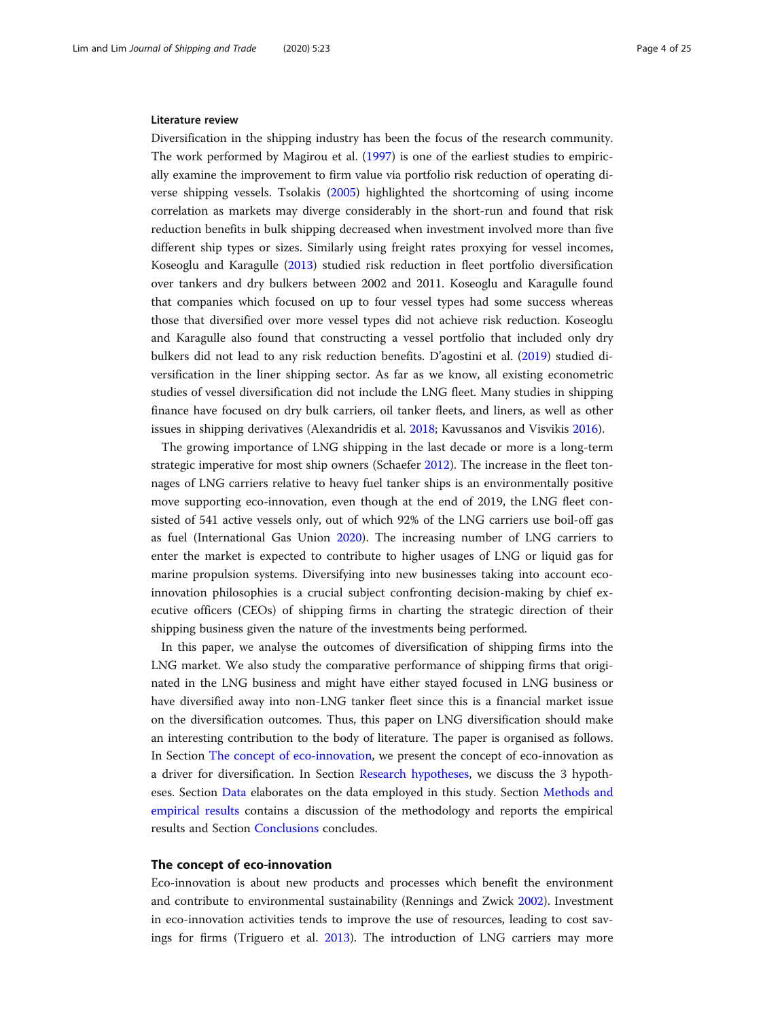#### Literature review

Diversification in the shipping industry has been the focus of the research community. The work performed by Magirou et al. [\(1997\)](#page-23-0) is one of the earliest studies to empirically examine the improvement to firm value via portfolio risk reduction of operating diverse shipping vessels. Tsolakis ([2005](#page-24-0)) highlighted the shortcoming of using income correlation as markets may diverge considerably in the short-run and found that risk reduction benefits in bulk shipping decreased when investment involved more than five different ship types or sizes. Similarly using freight rates proxying for vessel incomes, Koseoglu and Karagulle [\(2013\)](#page-23-0) studied risk reduction in fleet portfolio diversification over tankers and dry bulkers between 2002 and 2011. Koseoglu and Karagulle found that companies which focused on up to four vessel types had some success whereas those that diversified over more vessel types did not achieve risk reduction. Koseoglu and Karagulle also found that constructing a vessel portfolio that included only dry bulkers did not lead to any risk reduction benefits. D'agostini et al. [\(2019](#page-22-0)) studied diversification in the liner shipping sector. As far as we know, all existing econometric studies of vessel diversification did not include the LNG fleet. Many studies in shipping finance have focused on dry bulk carriers, oil tanker fleets, and liners, as well as other issues in shipping derivatives (Alexandridis et al. [2018;](#page-22-0) Kavussanos and Visvikis [2016\)](#page-23-0).

The growing importance of LNG shipping in the last decade or more is a long-term strategic imperative for most ship owners (Schaefer [2012](#page-23-0)). The increase in the fleet tonnages of LNG carriers relative to heavy fuel tanker ships is an environmentally positive move supporting eco-innovation, even though at the end of 2019, the LNG fleet consisted of 541 active vessels only, out of which 92% of the LNG carriers use boil-off gas as fuel (International Gas Union [2020\)](#page-23-0). The increasing number of LNG carriers to enter the market is expected to contribute to higher usages of LNG or liquid gas for marine propulsion systems. Diversifying into new businesses taking into account ecoinnovation philosophies is a crucial subject confronting decision-making by chief executive officers (CEOs) of shipping firms in charting the strategic direction of their shipping business given the nature of the investments being performed.

In this paper, we analyse the outcomes of diversification of shipping firms into the LNG market. We also study the comparative performance of shipping firms that originated in the LNG business and might have either stayed focused in LNG business or have diversified away into non-LNG tanker fleet since this is a financial market issue on the diversification outcomes. Thus, this paper on LNG diversification should make an interesting contribution to the body of literature. The paper is organised as follows. In Section The concept of eco-innovation, we present the concept of eco-innovation as a driver for diversification. In Section [Research hypotheses](#page-5-0), we discuss the 3 hypotheses. Section [Data](#page-9-0) elaborates on the data employed in this study. Section [Methods and](#page-16-0) [empirical results](#page-16-0) contains a discussion of the methodology and reports the empirical results and Section [Conclusions](#page-21-0) concludes.

#### The concept of eco-innovation

Eco-innovation is about new products and processes which benefit the environment and contribute to environmental sustainability (Rennings and Zwick [2002](#page-23-0)). Investment in eco-innovation activities tends to improve the use of resources, leading to cost savings for firms (Triguero et al. [2013\)](#page-24-0). The introduction of LNG carriers may more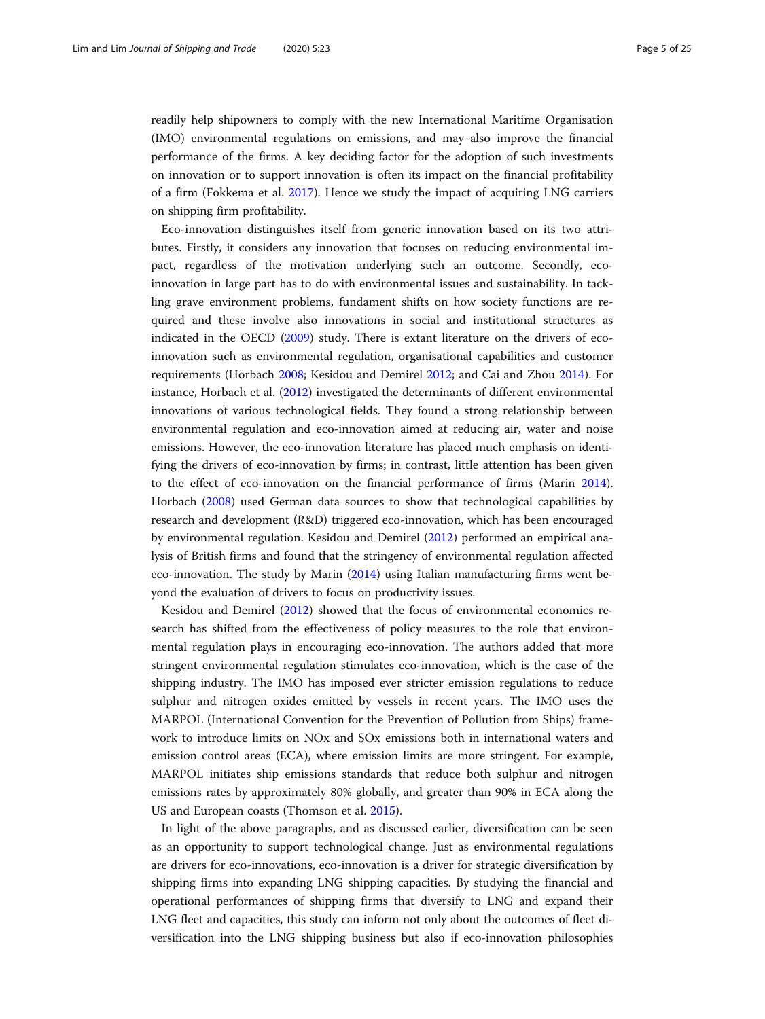readily help shipowners to comply with the new International Maritime Organisation (IMO) environmental regulations on emissions, and may also improve the financial performance of the firms. A key deciding factor for the adoption of such investments on innovation or to support innovation is often its impact on the financial profitability of a firm (Fokkema et al. [2017](#page-22-0)). Hence we study the impact of acquiring LNG carriers on shipping firm profitability.

Eco-innovation distinguishes itself from generic innovation based on its two attributes. Firstly, it considers any innovation that focuses on reducing environmental impact, regardless of the motivation underlying such an outcome. Secondly, ecoinnovation in large part has to do with environmental issues and sustainability. In tackling grave environment problems, fundament shifts on how society functions are required and these involve also innovations in social and institutional structures as indicated in the OECD ([2009](#page-23-0)) study. There is extant literature on the drivers of ecoinnovation such as environmental regulation, organisational capabilities and customer requirements (Horbach [2008;](#page-23-0) Kesidou and Demirel [2012](#page-23-0); and Cai and Zhou [2014](#page-22-0)). For instance, Horbach et al. ([2012](#page-23-0)) investigated the determinants of different environmental innovations of various technological fields. They found a strong relationship between environmental regulation and eco-innovation aimed at reducing air, water and noise emissions. However, the eco-innovation literature has placed much emphasis on identifying the drivers of eco-innovation by firms; in contrast, little attention has been given to the effect of eco-innovation on the financial performance of firms (Marin [2014](#page-23-0)). Horbach [\(2008](#page-23-0)) used German data sources to show that technological capabilities by research and development (R&D) triggered eco-innovation, which has been encouraged by environmental regulation. Kesidou and Demirel [\(2012](#page-23-0)) performed an empirical analysis of British firms and found that the stringency of environmental regulation affected eco-innovation. The study by Marin ([2014](#page-23-0)) using Italian manufacturing firms went beyond the evaluation of drivers to focus on productivity issues.

Kesidou and Demirel [\(2012\)](#page-23-0) showed that the focus of environmental economics research has shifted from the effectiveness of policy measures to the role that environmental regulation plays in encouraging eco-innovation. The authors added that more stringent environmental regulation stimulates eco-innovation, which is the case of the shipping industry. The IMO has imposed ever stricter emission regulations to reduce sulphur and nitrogen oxides emitted by vessels in recent years. The IMO uses the MARPOL (International Convention for the Prevention of Pollution from Ships) framework to introduce limits on NOx and SOx emissions both in international waters and emission control areas (ECA), where emission limits are more stringent. For example, MARPOL initiates ship emissions standards that reduce both sulphur and nitrogen emissions rates by approximately 80% globally, and greater than 90% in ECA along the US and European coasts (Thomson et al. [2015](#page-24-0)).

In light of the above paragraphs, and as discussed earlier, diversification can be seen as an opportunity to support technological change. Just as environmental regulations are drivers for eco-innovations, eco-innovation is a driver for strategic diversification by shipping firms into expanding LNG shipping capacities. By studying the financial and operational performances of shipping firms that diversify to LNG and expand their LNG fleet and capacities, this study can inform not only about the outcomes of fleet diversification into the LNG shipping business but also if eco-innovation philosophies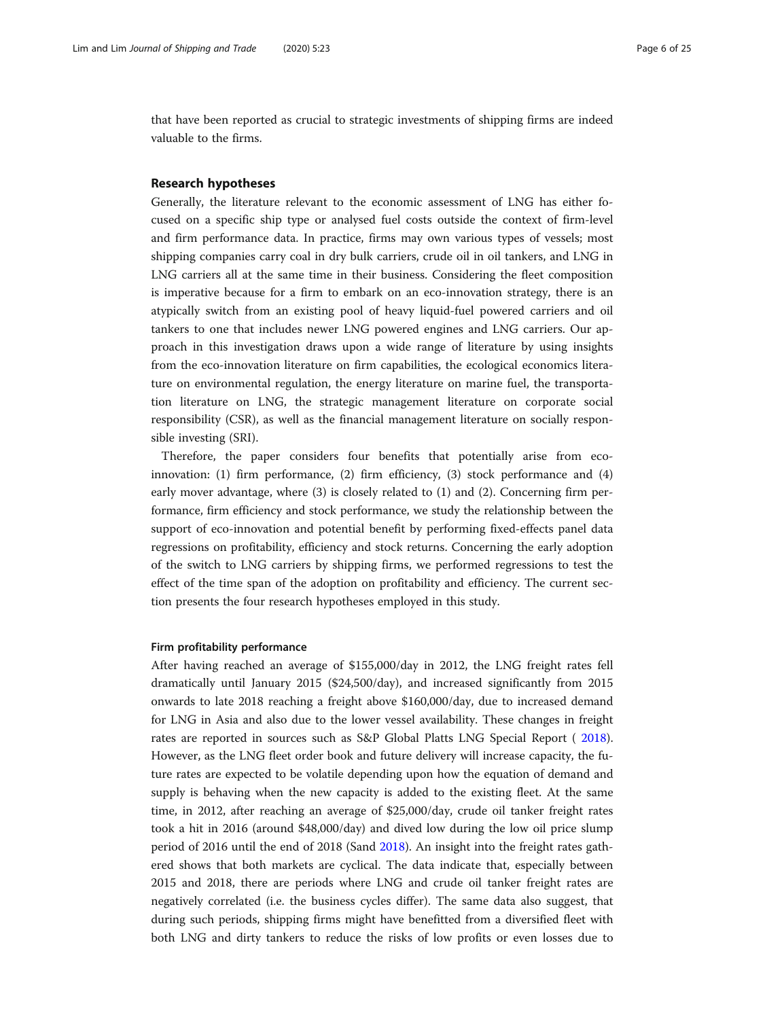<span id="page-5-0"></span>that have been reported as crucial to strategic investments of shipping firms are indeed valuable to the firms.

#### Research hypotheses

Generally, the literature relevant to the economic assessment of LNG has either focused on a specific ship type or analysed fuel costs outside the context of firm-level and firm performance data. In practice, firms may own various types of vessels; most shipping companies carry coal in dry bulk carriers, crude oil in oil tankers, and LNG in LNG carriers all at the same time in their business. Considering the fleet composition is imperative because for a firm to embark on an eco-innovation strategy, there is an atypically switch from an existing pool of heavy liquid-fuel powered carriers and oil tankers to one that includes newer LNG powered engines and LNG carriers. Our approach in this investigation draws upon a wide range of literature by using insights from the eco-innovation literature on firm capabilities, the ecological economics literature on environmental regulation, the energy literature on marine fuel, the transportation literature on LNG, the strategic management literature on corporate social responsibility (CSR), as well as the financial management literature on socially responsible investing (SRI).

Therefore, the paper considers four benefits that potentially arise from ecoinnovation: (1) firm performance, (2) firm efficiency, (3) stock performance and (4) early mover advantage, where (3) is closely related to (1) and (2). Concerning firm performance, firm efficiency and stock performance, we study the relationship between the support of eco-innovation and potential benefit by performing fixed-effects panel data regressions on profitability, efficiency and stock returns. Concerning the early adoption of the switch to LNG carriers by shipping firms, we performed regressions to test the effect of the time span of the adoption on profitability and efficiency. The current section presents the four research hypotheses employed in this study.

#### Firm profitability performance

After having reached an average of \$155,000/day in 2012, the LNG freight rates fell dramatically until January 2015 (\$24,500/day), and increased significantly from 2015 onwards to late 2018 reaching a freight above \$160,000/day, due to increased demand for LNG in Asia and also due to the lower vessel availability. These changes in freight rates are reported in sources such as S&P Global Platts LNG Special Report ( [2018](#page-23-0)). However, as the LNG fleet order book and future delivery will increase capacity, the future rates are expected to be volatile depending upon how the equation of demand and supply is behaving when the new capacity is added to the existing fleet. At the same time, in 2012, after reaching an average of \$25,000/day, crude oil tanker freight rates took a hit in 2016 (around \$48,000/day) and dived low during the low oil price slump period of 2016 until the end of 2018 (Sand [2018](#page-23-0)). An insight into the freight rates gathered shows that both markets are cyclical. The data indicate that, especially between 2015 and 2018, there are periods where LNG and crude oil tanker freight rates are negatively correlated (i.e. the business cycles differ). The same data also suggest, that during such periods, shipping firms might have benefitted from a diversified fleet with both LNG and dirty tankers to reduce the risks of low profits or even losses due to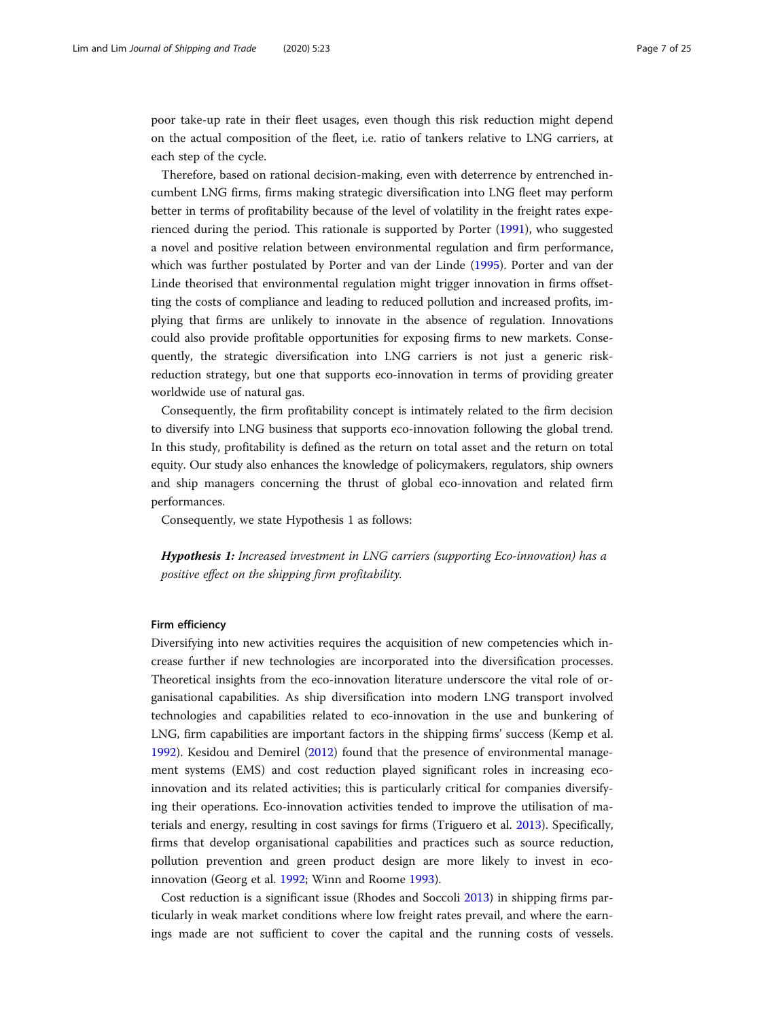poor take-up rate in their fleet usages, even though this risk reduction might depend on the actual composition of the fleet, i.e. ratio of tankers relative to LNG carriers, at each step of the cycle.

Therefore, based on rational decision-making, even with deterrence by entrenched incumbent LNG firms, firms making strategic diversification into LNG fleet may perform better in terms of profitability because of the level of volatility in the freight rates experienced during the period. This rationale is supported by Porter [\(1991\)](#page-23-0), who suggested a novel and positive relation between environmental regulation and firm performance, which was further postulated by Porter and van der Linde [\(1995](#page-23-0)). Porter and van der Linde theorised that environmental regulation might trigger innovation in firms offsetting the costs of compliance and leading to reduced pollution and increased profits, implying that firms are unlikely to innovate in the absence of regulation. Innovations could also provide profitable opportunities for exposing firms to new markets. Consequently, the strategic diversification into LNG carriers is not just a generic riskreduction strategy, but one that supports eco-innovation in terms of providing greater worldwide use of natural gas.

Consequently, the firm profitability concept is intimately related to the firm decision to diversify into LNG business that supports eco-innovation following the global trend. In this study, profitability is defined as the return on total asset and the return on total equity. Our study also enhances the knowledge of policymakers, regulators, ship owners and ship managers concerning the thrust of global eco-innovation and related firm performances.

Consequently, we state Hypothesis 1 as follows:

Hypothesis 1: Increased investment in LNG carriers (supporting Eco-innovation) has a positive effect on the shipping firm profitability.

#### Firm efficiency

Diversifying into new activities requires the acquisition of new competencies which increase further if new technologies are incorporated into the diversification processes. Theoretical insights from the eco-innovation literature underscore the vital role of organisational capabilities. As ship diversification into modern LNG transport involved technologies and capabilities related to eco-innovation in the use and bunkering of LNG, firm capabilities are important factors in the shipping firms' success (Kemp et al. [1992](#page-23-0)). Kesidou and Demirel [\(2012\)](#page-23-0) found that the presence of environmental management systems (EMS) and cost reduction played significant roles in increasing ecoinnovation and its related activities; this is particularly critical for companies diversifying their operations. Eco-innovation activities tended to improve the utilisation of materials and energy, resulting in cost savings for firms (Triguero et al. [2013\)](#page-24-0). Specifically, firms that develop organisational capabilities and practices such as source reduction, pollution prevention and green product design are more likely to invest in ecoinnovation (Georg et al. [1992;](#page-22-0) Winn and Roome [1993](#page-24-0)).

Cost reduction is a significant issue (Rhodes and Soccoli [2013](#page-23-0)) in shipping firms particularly in weak market conditions where low freight rates prevail, and where the earnings made are not sufficient to cover the capital and the running costs of vessels.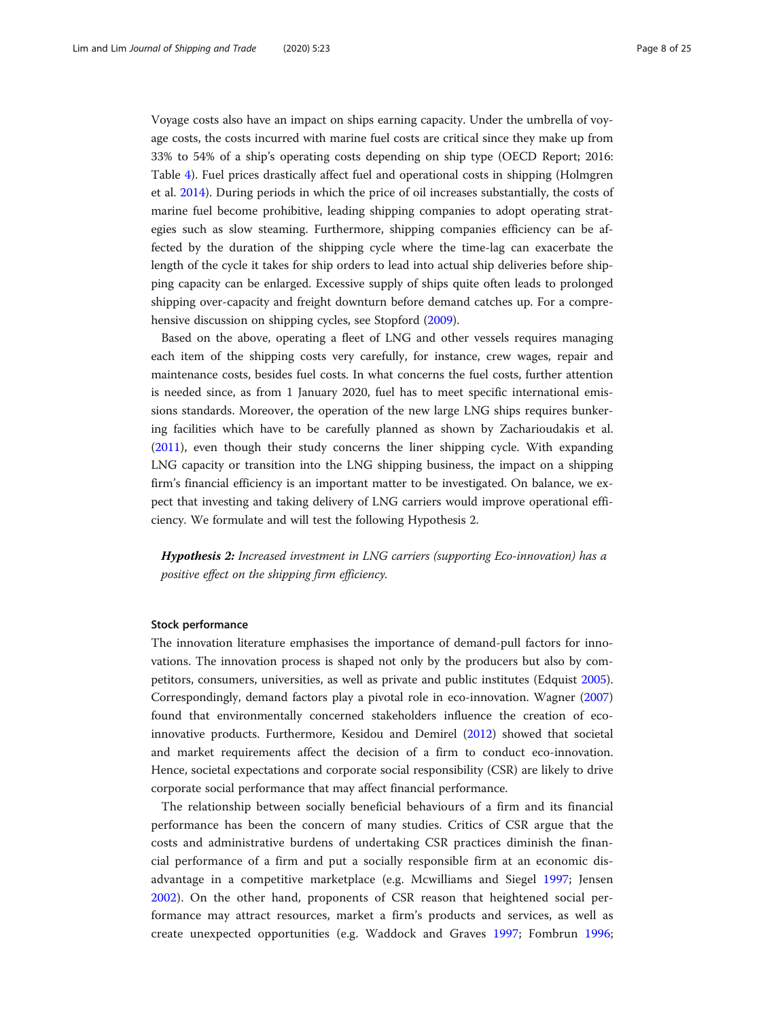Voyage costs also have an impact on ships earning capacity. Under the umbrella of voyage costs, the costs incurred with marine fuel costs are critical since they make up from 33% to 54% of a ship's operating costs depending on ship type (OECD Report; 2016: Table [4\)](#page-11-0). Fuel prices drastically affect fuel and operational costs in shipping (Holmgren et al. [2014\)](#page-22-0). During periods in which the price of oil increases substantially, the costs of marine fuel become prohibitive, leading shipping companies to adopt operating strategies such as slow steaming. Furthermore, shipping companies efficiency can be affected by the duration of the shipping cycle where the time-lag can exacerbate the length of the cycle it takes for ship orders to lead into actual ship deliveries before shipping capacity can be enlarged. Excessive supply of ships quite often leads to prolonged shipping over-capacity and freight downturn before demand catches up. For a comprehensive discussion on shipping cycles, see Stopford ([2009\)](#page-23-0).

Based on the above, operating a fleet of LNG and other vessels requires managing each item of the shipping costs very carefully, for instance, crew wages, repair and maintenance costs, besides fuel costs. In what concerns the fuel costs, further attention is needed since, as from 1 January 2020, fuel has to meet specific international emissions standards. Moreover, the operation of the new large LNG ships requires bunkering facilities which have to be carefully planned as shown by Zacharioudakis et al. ([2011](#page-24-0)), even though their study concerns the liner shipping cycle. With expanding LNG capacity or transition into the LNG shipping business, the impact on a shipping firm's financial efficiency is an important matter to be investigated. On balance, we expect that investing and taking delivery of LNG carriers would improve operational efficiency. We formulate and will test the following Hypothesis 2.

Hypothesis 2: Increased investment in LNG carriers (supporting Eco-innovation) has a positive effect on the shipping firm efficiency.

#### Stock performance

The innovation literature emphasises the importance of demand-pull factors for innovations. The innovation process is shaped not only by the producers but also by competitors, consumers, universities, as well as private and public institutes (Edquist [2005](#page-22-0)). Correspondingly, demand factors play a pivotal role in eco-innovation. Wagner ([2007](#page-24-0)) found that environmentally concerned stakeholders influence the creation of ecoinnovative products. Furthermore, Kesidou and Demirel ([2012](#page-23-0)) showed that societal and market requirements affect the decision of a firm to conduct eco-innovation. Hence, societal expectations and corporate social responsibility (CSR) are likely to drive corporate social performance that may affect financial performance.

The relationship between socially beneficial behaviours of a firm and its financial performance has been the concern of many studies. Critics of CSR argue that the costs and administrative burdens of undertaking CSR practices diminish the financial performance of a firm and put a socially responsible firm at an economic disadvantage in a competitive marketplace (e.g. Mcwilliams and Siegel [1997](#page-23-0); Jensen [2002\)](#page-23-0). On the other hand, proponents of CSR reason that heightened social performance may attract resources, market a firm's products and services, as well as create unexpected opportunities (e.g. Waddock and Graves [1997](#page-24-0); Fombrun [1996](#page-22-0);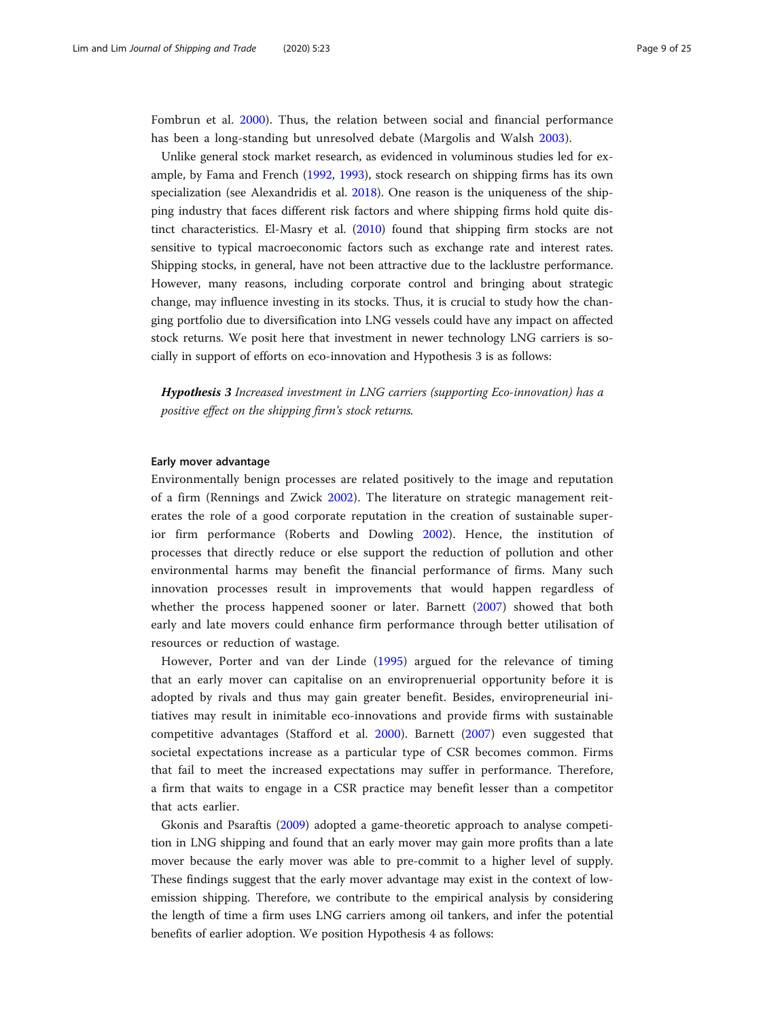Fombrun et al. [2000\)](#page-22-0). Thus, the relation between social and financial performance has been a long-standing but unresolved debate (Margolis and Walsh [2003\)](#page-23-0).

Unlike general stock market research, as evidenced in voluminous studies led for example, by Fama and French [\(1992,](#page-22-0) [1993\)](#page-22-0), stock research on shipping firms has its own specialization (see Alexandridis et al. [2018\)](#page-22-0). One reason is the uniqueness of the shipping industry that faces different risk factors and where shipping firms hold quite distinct characteristics. El-Masry et al. ([2010](#page-22-0)) found that shipping firm stocks are not sensitive to typical macroeconomic factors such as exchange rate and interest rates. Shipping stocks, in general, have not been attractive due to the lacklustre performance. However, many reasons, including corporate control and bringing about strategic change, may influence investing in its stocks. Thus, it is crucial to study how the changing portfolio due to diversification into LNG vessels could have any impact on affected stock returns. We posit here that investment in newer technology LNG carriers is socially in support of efforts on eco-innovation and Hypothesis 3 is as follows:

Hypothesis 3 Increased investment in LNG carriers (supporting Eco-innovation) has a positive effect on the shipping firm's stock returns.

### Early mover advantage

Environmentally benign processes are related positively to the image and reputation of a firm (Rennings and Zwick [2002](#page-23-0)). The literature on strategic management reiterates the role of a good corporate reputation in the creation of sustainable superior firm performance (Roberts and Dowling [2002](#page-23-0)). Hence, the institution of processes that directly reduce or else support the reduction of pollution and other environmental harms may benefit the financial performance of firms. Many such innovation processes result in improvements that would happen regardless of whether the process happened sooner or later. Barnett [\(2007](#page-22-0)) showed that both early and late movers could enhance firm performance through better utilisation of resources or reduction of wastage.

However, Porter and van der Linde [\(1995](#page-23-0)) argued for the relevance of timing that an early mover can capitalise on an enviroprenuerial opportunity before it is adopted by rivals and thus may gain greater benefit. Besides, enviropreneurial initiatives may result in inimitable eco-innovations and provide firms with sustainable competitive advantages (Stafford et al. [2000](#page-23-0)). Barnett [\(2007](#page-22-0)) even suggested that societal expectations increase as a particular type of CSR becomes common. Firms that fail to meet the increased expectations may suffer in performance. Therefore, a firm that waits to engage in a CSR practice may benefit lesser than a competitor that acts earlier.

Gkonis and Psaraftis [\(2009\)](#page-22-0) adopted a game-theoretic approach to analyse competition in LNG shipping and found that an early mover may gain more profits than a late mover because the early mover was able to pre-commit to a higher level of supply. These findings suggest that the early mover advantage may exist in the context of lowemission shipping. Therefore, we contribute to the empirical analysis by considering the length of time a firm uses LNG carriers among oil tankers, and infer the potential benefits of earlier adoption. We position Hypothesis 4 as follows: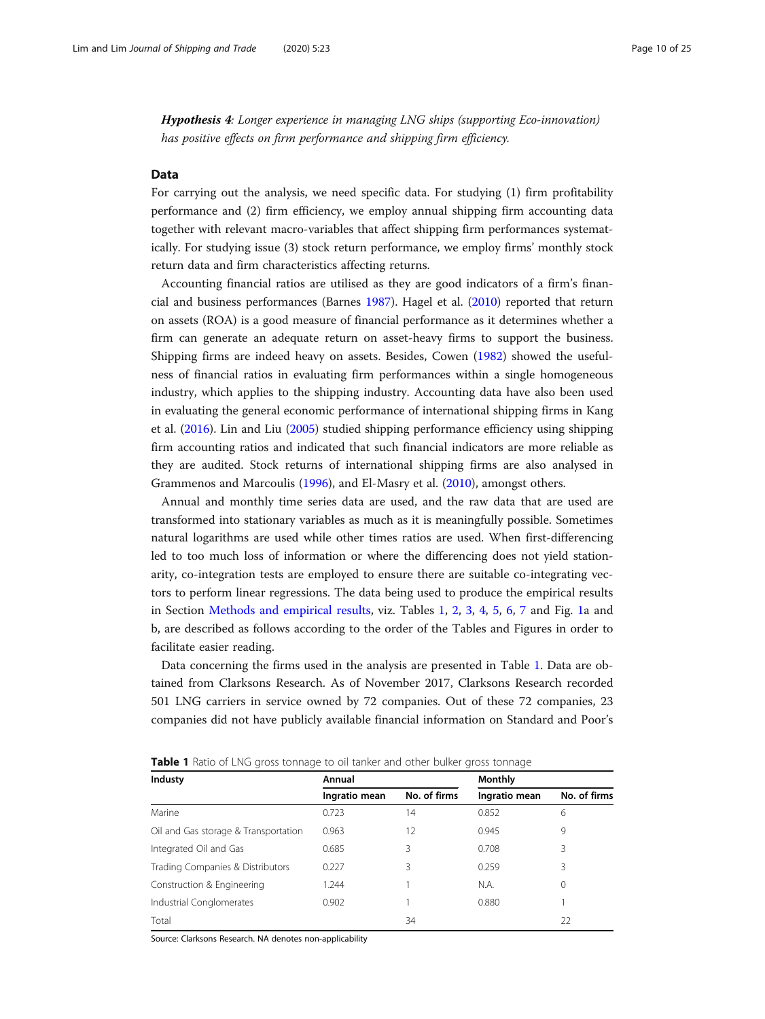<span id="page-9-0"></span>Hypothesis 4: Longer experience in managing LNG ships (supporting Eco-innovation) has positive effects on firm performance and shipping firm efficiency.

#### Data

For carrying out the analysis, we need specific data. For studying (1) firm profitability performance and (2) firm efficiency, we employ annual shipping firm accounting data together with relevant macro-variables that affect shipping firm performances systematically. For studying issue (3) stock return performance, we employ firms' monthly stock return data and firm characteristics affecting returns.

Accounting financial ratios are utilised as they are good indicators of a firm's financial and business performances (Barnes [1987](#page-22-0)). Hagel et al. ([2010](#page-22-0)) reported that return on assets (ROA) is a good measure of financial performance as it determines whether a firm can generate an adequate return on asset-heavy firms to support the business. Shipping firms are indeed heavy on assets. Besides, Cowen ([1982\)](#page-22-0) showed the usefulness of financial ratios in evaluating firm performances within a single homogeneous industry, which applies to the shipping industry. Accounting data have also been used in evaluating the general economic performance of international shipping firms in Kang et al. ([2016](#page-23-0)). Lin and Liu ([2005](#page-23-0)) studied shipping performance efficiency using shipping firm accounting ratios and indicated that such financial indicators are more reliable as they are audited. Stock returns of international shipping firms are also analysed in Grammenos and Marcoulis ([1996\)](#page-22-0), and El-Masry et al. ([2010](#page-22-0)), amongst others.

Annual and monthly time series data are used, and the raw data that are used are transformed into stationary variables as much as it is meaningfully possible. Sometimes natural logarithms are used while other times ratios are used. When first-differencing led to too much loss of information or where the differencing does not yield stationarity, co-integration tests are employed to ensure there are suitable co-integrating vectors to perform linear regressions. The data being used to produce the empirical results in Section [Methods and empirical results,](#page-16-0) viz. Tables 1, [2](#page-10-0), [3,](#page-10-0) [4](#page-11-0), [5,](#page-11-0) [6](#page-12-0), [7](#page-12-0) and Fig. [1a](#page-13-0) and b, are described as follows according to the order of the Tables and Figures in order to facilitate easier reading.

Data concerning the firms used in the analysis are presented in Table 1. Data are obtained from Clarksons Research. As of November 2017, Clarksons Research recorded 501 LNG carriers in service owned by 72 companies. Out of these 72 companies, 23 companies did not have publicly available financial information on Standard and Poor's

| Industy                              | Annual        |              | Monthly       |              |  |
|--------------------------------------|---------------|--------------|---------------|--------------|--|
|                                      | Ingratio mean | No. of firms | Ingratio mean | No. of firms |  |
| Marine                               | 0.723         | 14           | 0.852         | 6            |  |
| Oil and Gas storage & Transportation | 0.963         | 12           | 0.945         | 9            |  |
| Integrated Oil and Gas               | 0.685         | 3            | 0.708         | 3            |  |
| Trading Companies & Distributors     | 0.227         | 3            | 0.259         | 3            |  |
| Construction & Engineering           | 1.244         |              | N.A.          | 0            |  |
| Industrial Conglomerates             | 0.902         |              | 0.880         |              |  |
| Total                                |               | 34           |               | 22           |  |

**Table 1** Ratio of LNG gross tonnage to oil tanker and other bulker gross tonnage

Source: Clarksons Research. NA denotes non-applicability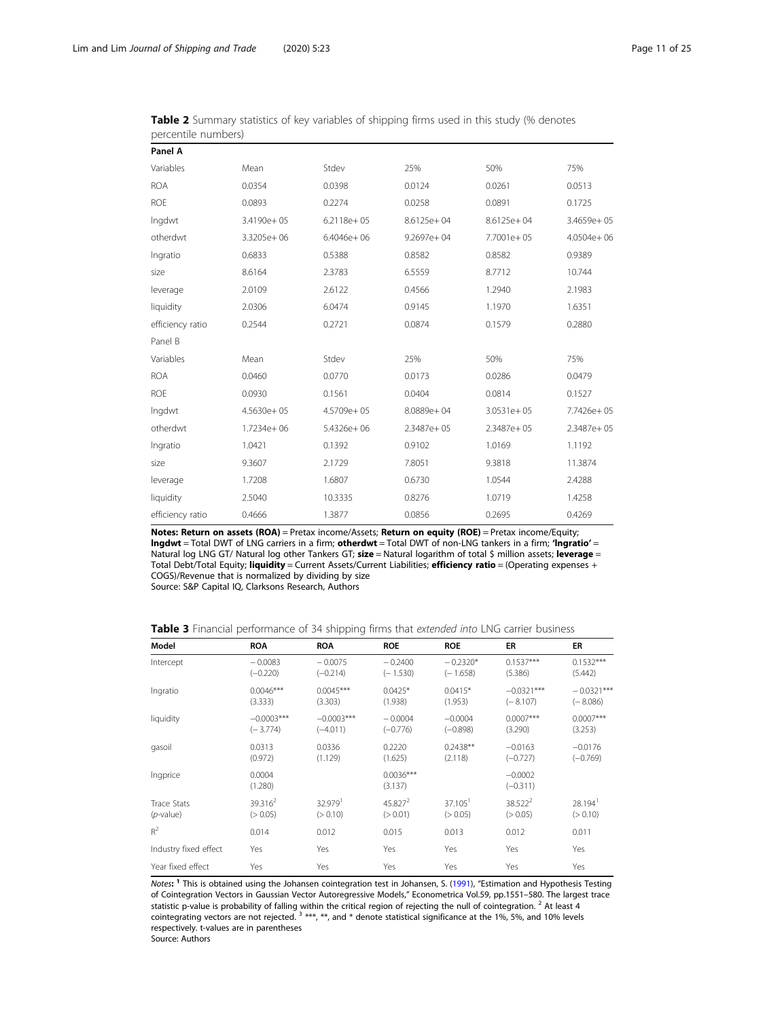| Panel A          |                |                |                |                |                |
|------------------|----------------|----------------|----------------|----------------|----------------|
| Variables        | Mean           | Stdev          | 25%            | 50%            | 75%            |
| <b>ROA</b>       | 0.0354         | 0.0398         | 0.0124         | 0.0261         | 0.0513         |
| <b>ROE</b>       | 0.0893         | 0.2274         | 0.0258         | 0.0891         | 0.1725         |
| Ingdwt           | 3.4190e+05     | $6.2118e + 05$ | 8.6125e+04     | $8.6125e + 04$ | $3.4659e + 05$ |
| otherdwt         | 3.3205e+06     | $6.4046e + 06$ | $9.2697e + 04$ | 7.7001e+05     | $4.0504e + 06$ |
| Ingratio         | 0.6833         | 0.5388         | 0.8582         | 0.8582         | 0.9389         |
| size             | 8.6164         | 2.3783         | 6.5559         | 8.7712         | 10.744         |
| leverage         | 2.0109         | 2.6122         | 0.4566         | 1.2940         | 2.1983         |
| liquidity        | 2.0306         | 6.0474         | 0.9145         | 1.1970         | 1.6351         |
| efficiency ratio | 0.2544         | 0.2721         | 0.0874         | 0.1579         | 0.2880         |
| Panel B          |                |                |                |                |                |
| Variables        | Mean           | Stdev          | 25%            | 50%            | 75%            |
| <b>ROA</b>       | 0.0460         | 0.0770         | 0.0173         | 0.0286         | 0.0479         |
| <b>ROE</b>       | 0.0930         | 0.1561         | 0.0404         | 0.0814         | 0.1527         |
| Ingdwt           | $4.5630e + 05$ | 4.5709e+05     | 8.0889e+04     | $3.0531e + 05$ | 7.7426e+05     |
| otherdwt         | 1.7234e+06     | $5.4326e + 06$ | $2.3487e + 05$ | 2.3487e+05     | $2.3487e + 05$ |
| Ingratio         | 1.0421         | 0.1392         | 0.9102         | 1.0169         | 1.1192         |
| size             | 9.3607         | 2.1729         | 7.8051         | 9.3818         | 11.3874        |
| leverage         | 1.7208         | 1.6807         | 0.6730         | 1.0544         | 2.4288         |
| liquidity        | 2.5040         | 10.3335        | 0.8276         | 1.0719         | 1.4258         |
| efficiency ratio | 0.4666         | 1.3877         | 0.0856         | 0.2695         | 0.4269         |

<span id="page-10-0"></span>Table 2 Summary statistics of key variables of shipping firms used in this study (% denotes percentile numbers)

Notes: Return on assets (ROA) = Pretax income/Assets; Return on equity (ROE) = Pretax income/Equity; lngdwt = Total DWT of LNG carriers in a firm; otherdwt = Total DWT of non-LNG tankers in a firm; 'lngratio' = Natural log LNG GT/ Natural log other Tankers GT; size = Natural logarithm of total \$ million assets; leverage = Total Debt/Total Equity; liquidity = Current Assets/Current Liabilities; efficiency ratio = (Operating expenses + COGS)/Revenue that is normalized by dividing by size Source: S&P Capital IQ, Clarksons Research, Authors

Table 3 Financial performance of 34 shipping firms that extended into LNG carrier business

| Model                 | <b>ROA</b>        | <b>ROA</b>          | <b>ROE</b>             | <b>ROE</b>            | ER                      | ER                  |
|-----------------------|-------------------|---------------------|------------------------|-----------------------|-------------------------|---------------------|
| Intercept             | $-0.0083$         | $-0.0075$           | $-0.2400$              | $-0.2320*$            | $0.1537***$             | $0.1532***$         |
|                       | $(-0.220)$        | $(-0.214)$          | $(-1.530)$             | $(-1.658)$            | (5.386)                 | (5.442)             |
| Ingratio              | $0.0046***$       | $0.0045***$         | $0.0425*$              | $0.0415*$             | $-0.0321***$            | $-0.0321***$        |
|                       | (3.333)           | (3.303)             | (1.938)                | (1.953)               | $(-8.107)$              | $(-8.086)$          |
| liquidity             | $-0.0003***$      | $-0.0003***$        | $-0.0004$              | $-0.0004$             | $0.0007***$             | $0.0007***$         |
|                       | $(-3.774)$        | $(-4.011)$          | $(-0.776)$             | $(-0.898)$            | (3.290)                 | (3.253)             |
| gasoil                | 0.0313            | 0.0336              | 0.2220                 | $0.2438**$            | $-0.0163$               | $-0.0176$           |
|                       | (0.972)           | (1.129)             | (1.625)                | (2.118)               | $(-0.727)$              | $(-0.769)$          |
| Ingprice              | 0.0004<br>(1.280) |                     | $0.0036***$<br>(3.137) |                       | $-0.0002$<br>$(-0.311)$ |                     |
| Trace Stats           | $39.316^2$        | 32.979 <sup>1</sup> | 45.827 <sup>2</sup>    | $37.105$ <sup>1</sup> | 38.522 <sup>2</sup>     | 28.194 <sup>1</sup> |
| $(p$ -value)          | (> 0.05)          | (> 0.10)            | (> 0.01)               | (> 0.05)              | (> 0.05)                | (> 0.10)            |
| $R^2$                 | 0.014             | 0.012               | 0.015                  | 0.013                 | 0.012                   | 0.011               |
| Industry fixed effect | Yes               | Yes                 | Yes                    | Yes                   | Yes                     | Yes                 |
| Year fixed effect     | Yes               | Yes                 | Yes                    | Yes                   | Yes                     | Yes                 |

Notes: <sup>1</sup> This is obtained using the Johansen cointegration test in Johansen, S. [\(1991\)](#page-23-0), "Estimation and Hypothesis Testing of Cointegration Vectors in Gaussian Vector Autoregressive Models," Econometrica Vol.59, pp.1551–580. The largest trace statistic p-value is probability of falling within the critical region of rejecting the null of cointegration. <sup>2</sup> At least 4 cointegrating vectors are not rejected.  $3$  \*\*\*, \*\*, and \* denote statistical significance at the 1%, 5%, and 10% levels respectively. t-values are in parentheses

Source: Authors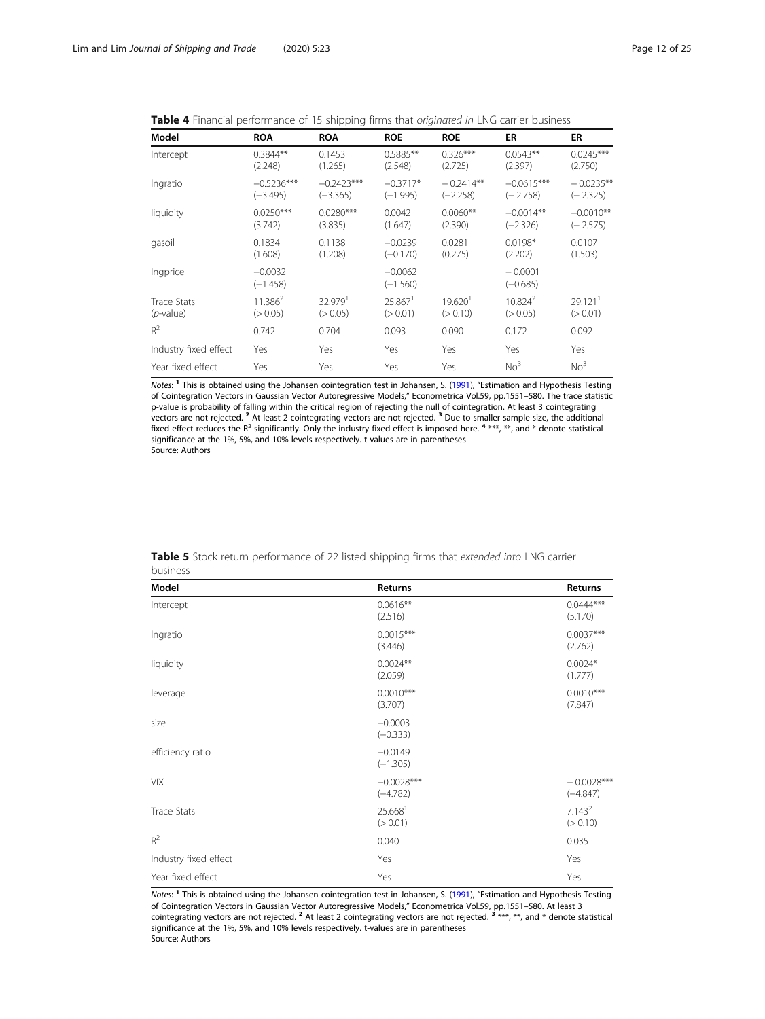<span id="page-11-0"></span>Table 4 Financial performance of 15 shipping firms that originated in LNG carrier business

| Model                 | <b>ROA</b>              | <b>ROA</b>          | <b>ROE</b>              | <b>ROE</b>          | ER                      | ER                    |
|-----------------------|-------------------------|---------------------|-------------------------|---------------------|-------------------------|-----------------------|
| Intercept             | $0.3844**$              | 0.1453              | $0.5885**$              | $0.326***$          | $0.0543**$              | $0.0245***$           |
|                       | (2.248)                 | (1.265)             | (2.548)                 | (2.725)             | (2.397)                 | (2.750)               |
| Ingratio              | $-0.5236***$            | $-0.2423***$        | $-0.3717*$              | $-0.2414**$         | $-0.0615***$            | $-0.0235**$           |
|                       | $(-3.495)$              | $(-3.365)$          | $(-1.995)$              | $(-2.258)$          | $(-2.758)$              | $(-2.325)$            |
| liquidity             | $0.0250***$             | $0.0280***$         | 0.0042                  | $0.0060**$          | $-0.0014**$             | $-0.0010**$           |
|                       | (3.742)                 | (3.835)             | (1.647)                 | (2.390)             | $(-2.326)$              | $(-2.575)$            |
| qasoil                | 0.1834                  | 0.1138              | $-0.0239$               | 0.0281              | $0.0198*$               | 0.0107                |
|                       | (1.608)                 | (1.208)             | $(-0.170)$              | (0.275)             | (2.202)                 | (1.503)               |
| Ingprice              | $-0.0032$<br>$(-1.458)$ |                     | $-0.0062$<br>$(-1.560)$ |                     | $-0.0001$<br>$(-0.685)$ |                       |
| <b>Trace Stats</b>    | $11.386^2$              | 32.979 <sup>1</sup> | $25.867$ <sup>1</sup>   | 19.620 <sup>1</sup> | $10.824^2$              | $29.121$ <sup>1</sup> |
| $(p$ -value)          | (> 0.05)                | (> 0.05)            | (> 0.01)                | (> 0.10)            | (> 0.05)                | (> 0.01)              |
| $R^2$                 | 0.742                   | 0.704               | 0.093                   | 0.090               | 0.172                   | 0.092                 |
| Industry fixed effect | Yes                     | Yes                 | Yes                     | Yes                 | Yes                     | Yes                   |
| Year fixed effect     | Yes                     | Yes                 | Yes                     | Yes                 | No <sup>3</sup>         | No <sup>3</sup>       |

Notes: <sup>1</sup> This is obtained using the Johansen cointegration test in Johansen, S. ([1991](#page-23-0)), "Estimation and Hypothesis Testing of Cointegration Vectors in Gaussian Vector Autoregressive Models," Econometrica Vol.59, pp.1551–580. The trace statistic p-value is probability of falling within the critical region of rejecting the null of cointegration. At least 3 cointegrating vectors are not rejected. <sup>2</sup> At least 2 cointegrating vectors are not rejected. <sup>3</sup> Due to smaller sample size, the additional fixed effect reduces the R<sup>2</sup> significantly. Only the industry fixed effect is imposed here.  $4***$ ,  $**$ , and  $*$  denote statistical significance at the 1%, 5%, and 10% levels respectively. t-values are in parentheses Source: Authors

| Model                 | Returns                         | Returns                        |
|-----------------------|---------------------------------|--------------------------------|
| Intercept             | $0.0616**$<br>(2.516)           | $0.0444***$<br>(5.170)         |
| Ingratio              | $0.0015***$<br>(3.446)          | $0.0037***$<br>(2.762)         |
| liquidity             | $0.0024**$<br>(2.059)           | $0.0024*$<br>(1.777)           |
| leverage              | $0.0010***$<br>(3.707)          | $0.0010***$<br>(7.847)         |
| size                  | $-0.0003$<br>$(-0.333)$         |                                |
| efficiency ratio      | $-0.0149$<br>$(-1.305)$         |                                |
| <b>VIX</b>            | $-0.0028***$<br>$(-4.782)$      | $-0.0028***$<br>$(-4.847)$     |
| <b>Trace Stats</b>    | 25.668 <sup>1</sup><br>(> 0.01) | 7.143 <sup>2</sup><br>(> 0.10) |
| $R^2$                 | 0.040                           | 0.035                          |
| Industry fixed effect | Yes                             | Yes                            |
| Year fixed effect     | Yes                             | Yes                            |

Table 5 Stock return performance of 22 listed shipping firms that extended into LNG carrier business

Notes: <sup>1</sup> This is obtained using the Johansen cointegration test in Johansen, S. ([1991](#page-23-0)), "Estimation and Hypothesis Testing of Cointegration Vectors in Gaussian Vector Autoregressive Models," Econometrica Vol.59, pp.1551–580. At least 3<br>cointegrating vectors are not rejected. <sup>2</sup> At least 2 cointegrating vectors are not rejected. <sup>3</sup> \*\*\*, \*\*, a significance at the 1%, 5%, and 10% levels respectively. t-values are in parentheses Source: Authors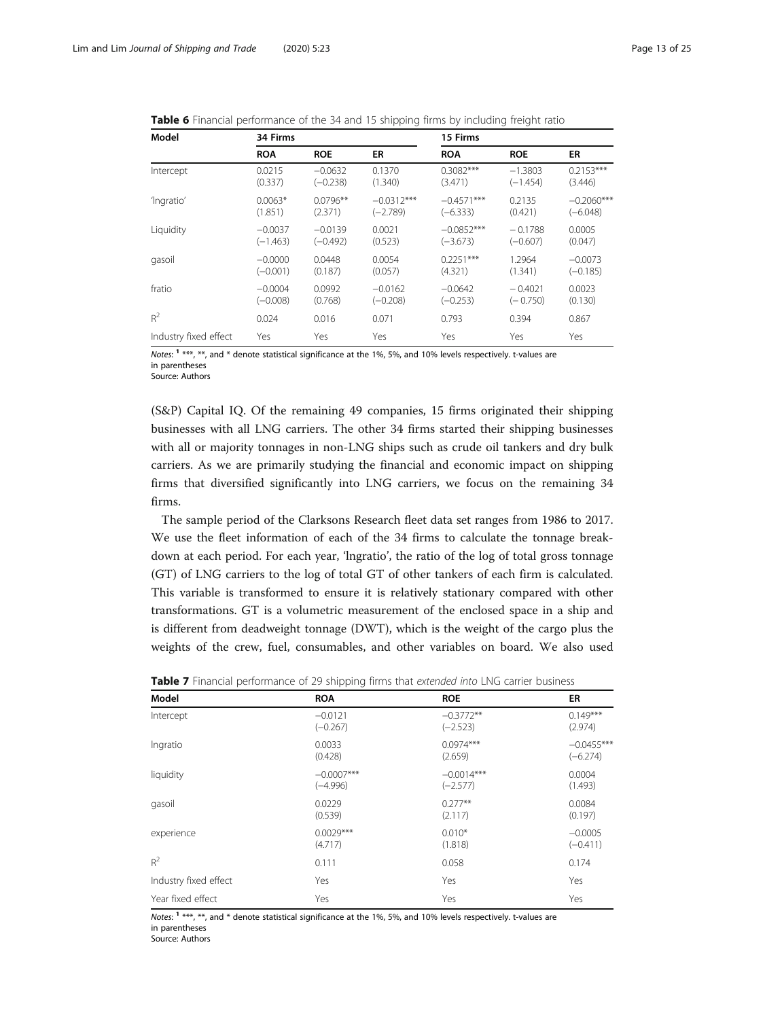| Model                 | 34 Firms   |            |              |              | 15 Firms   |              |  |
|-----------------------|------------|------------|--------------|--------------|------------|--------------|--|
|                       | <b>ROA</b> | <b>ROE</b> | ER           | <b>ROA</b>   | <b>ROE</b> | ER           |  |
| Intercept             | 0.0215     | $-0.0632$  | 0.1370       | $0.3082***$  | $-1.3803$  | $0.2153***$  |  |
|                       | (0.337)    | $(-0.238)$ | (1.340)      | (3.471)      | $(-1.454)$ | (3.446)      |  |
| 'Ingratio'            | $0.0063*$  | $0.0796**$ | $-0.0312***$ | $-0.4571***$ | 0.2135     | $-0.2060***$ |  |
|                       | (1.851)    | (2.371)    | $(-2.789)$   | $(-6.333)$   | (0.421)    | $(-6.048)$   |  |
| Liquidity             | $-0.0037$  | $-0.0139$  | 0.0021       | $-0.0852***$ | $-0.1788$  | 0.0005       |  |
|                       | $(-1.463)$ | (–0.492)   | (0.523)      | $(-3.673)$   | $(-0.607)$ | (0.047)      |  |
| gasoil                | $-0.0000$  | 0.0448     | 0.0054       | $0.2251***$  | 1.2964     | $-0.0073$    |  |
|                       | $(-0.001)$ | (0.187)    | (0.057)      | (4.321)      | (1.341)    | $(-0.185)$   |  |
| fratio                | $-0.0004$  | 0.0992     | $-0.0162$    | $-0.0642$    | $-0.4021$  | 0.0023       |  |
|                       | $(-0.008)$ | (0.768)    | $(-0.208)$   | $(-0.253)$   | $(-0.750)$ | (0.130)      |  |
| $R^2$                 | 0.024      | 0.016      | 0.071        | 0.793        | 0.394      | 0.867        |  |
| Industry fixed effect | Yes        | Yes        | Yes          | Yes          | Yes        | Yes          |  |

<span id="page-12-0"></span>Table 6 Financial performance of the 34 and 15 shipping firms by including freight ratio

Notes:  $1***$ ,  $**$ , and  $*$  denote statistical significance at the 1%, 5%, and 10% levels respectively. t-values are in parentheses

Source: Authors

(S&P) Capital IQ. Of the remaining 49 companies, 15 firms originated their shipping businesses with all LNG carriers. The other 34 firms started their shipping businesses with all or majority tonnages in non-LNG ships such as crude oil tankers and dry bulk carriers. As we are primarily studying the financial and economic impact on shipping firms that diversified significantly into LNG carriers, we focus on the remaining 34 firms.

The sample period of the Clarksons Research fleet data set ranges from 1986 to 2017. We use the fleet information of each of the 34 firms to calculate the tonnage breakdown at each period. For each year, 'lngratio', the ratio of the log of total gross tonnage (GT) of LNG carriers to the log of total GT of other tankers of each firm is calculated. This variable is transformed to ensure it is relatively stationary compared with other transformations. GT is a volumetric measurement of the enclosed space in a ship and is different from deadweight tonnage (DWT), which is the weight of the cargo plus the weights of the crew, fuel, consumables, and other variables on board. We also used

| Model                 | <b>ROA</b>   | <b>ROE</b>   | ER           |
|-----------------------|--------------|--------------|--------------|
| Intercept             | $-0.0121$    | $-0.3772**$  | $0.149***$   |
|                       | $(-0.267)$   | $(-2.523)$   | (2.974)      |
| Ingratio              | 0.0033       | $0.0974***$  | $-0.0455***$ |
|                       | (0.428)      | (2.659)      | $(-6.274)$   |
| liquidity             | $-0.0007***$ | $-0.0014***$ | 0.0004       |
|                       | $(-4.996)$   | $(-2.577)$   | (1.493)      |
| gasoil                | 0.0229       | $0.277**$    | 0.0084       |
|                       | (0.539)      | (2.117)      | (0.197)      |
| experience            | $0.0029***$  | $0.010*$     | $-0.0005$    |
|                       | (4.717)      | (1.818)      | $(-0.411)$   |
| $R^2$                 | 0.111        | 0.058        | 0.174        |
| Industry fixed effect | Yes          | Yes          | Yes          |
| Year fixed effect     | Yes          | Yes          | Yes          |

**Table 7** Financial performance of 29 shipping firms that extended into LNG carrier business

Notes:  $1***$ ,  $**$ , and  $*$  denote statistical significance at the 1%, 5%, and 10% levels respectively. t-values are in parentheses

Source: Authors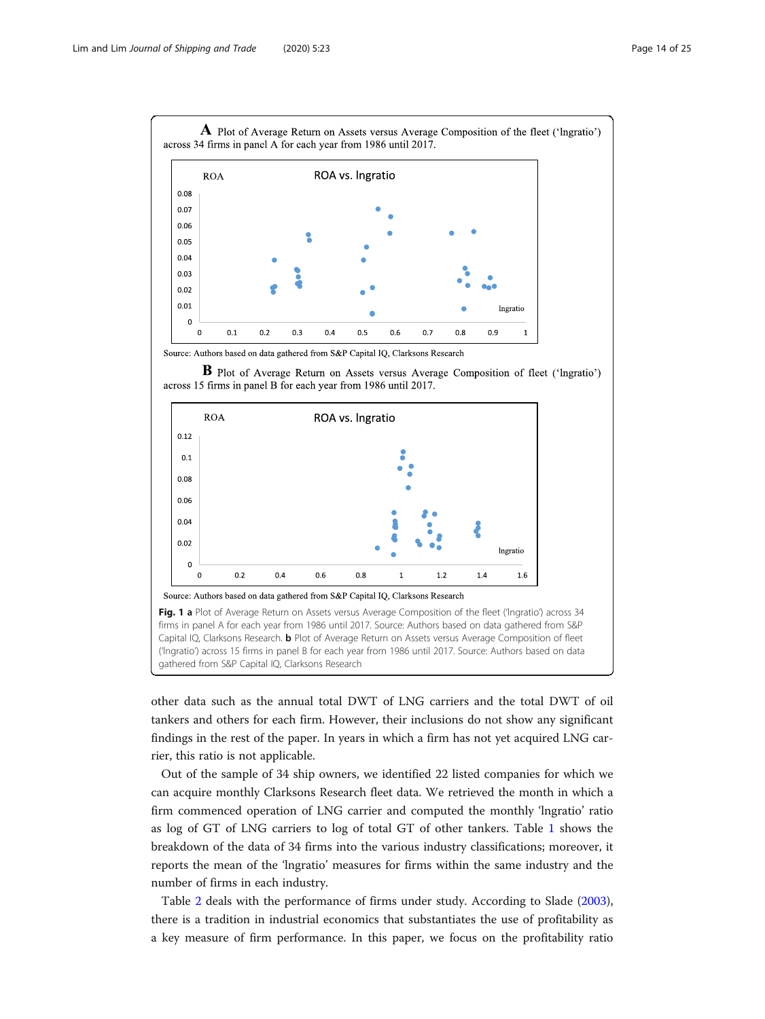<span id="page-13-0"></span>

Source: Authors based on data gathered from S&P Capital IQ, Clarksons Research



B Plot of Average Return on Assets versus Average Composition of fleet ('Ingratio')

other data such as the annual total DWT of LNG carriers and the total DWT of oil tankers and others for each firm. However, their inclusions do not show any significant findings in the rest of the paper. In years in which a firm has not yet acquired LNG carrier, this ratio is not applicable.

Out of the sample of 34 ship owners, we identified 22 listed companies for which we can acquire monthly Clarksons Research fleet data. We retrieved the month in which a firm commenced operation of LNG carrier and computed the monthly 'lngratio' ratio as log of GT of LNG carriers to log of total GT of other tankers. Table [1](#page-9-0) shows the breakdown of the data of 34 firms into the various industry classifications; moreover, it reports the mean of the 'lngratio' measures for firms within the same industry and the number of firms in each industry.

Table [2](#page-10-0) deals with the performance of firms under study. According to Slade ([2003](#page-23-0)), there is a tradition in industrial economics that substantiates the use of profitability as a key measure of firm performance. In this paper, we focus on the profitability ratio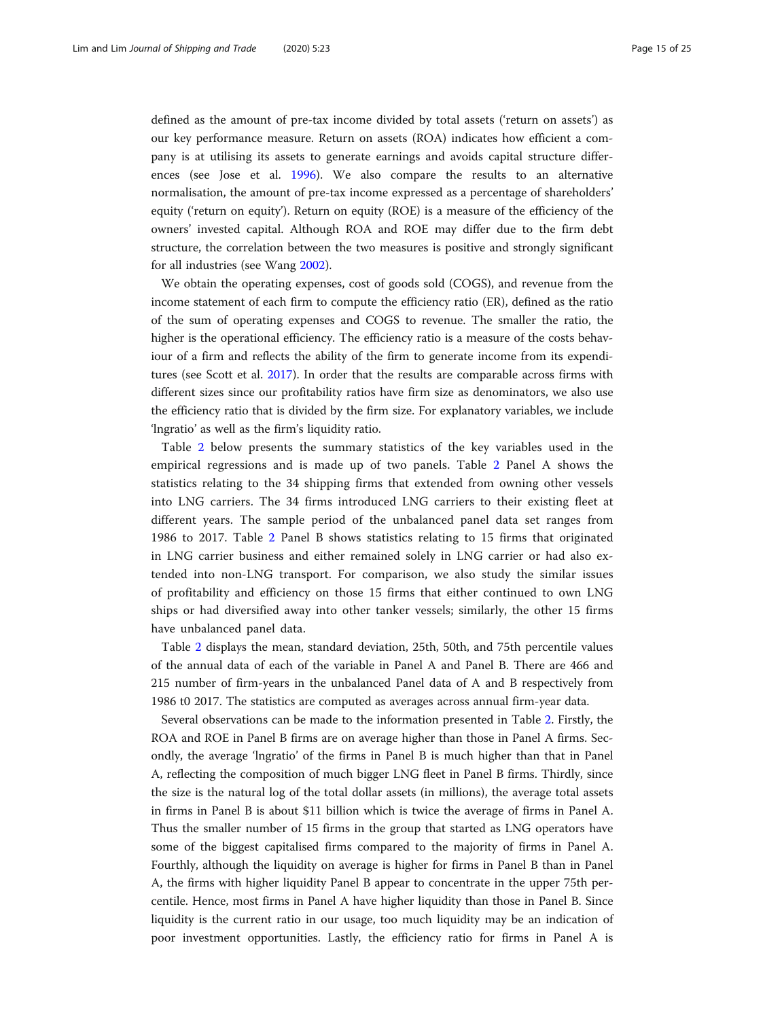defined as the amount of pre-tax income divided by total assets ('return on assets') as our key performance measure. Return on assets (ROA) indicates how efficient a company is at utilising its assets to generate earnings and avoids capital structure differences (see Jose et al. [1996](#page-23-0)). We also compare the results to an alternative normalisation, the amount of pre-tax income expressed as a percentage of shareholders' equity ('return on equity'). Return on equity (ROE) is a measure of the efficiency of the owners' invested capital. Although ROA and ROE may differ due to the firm debt structure, the correlation between the two measures is positive and strongly significant for all industries (see Wang [2002](#page-24-0)).

We obtain the operating expenses, cost of goods sold (COGS), and revenue from the income statement of each firm to compute the efficiency ratio (ER), defined as the ratio of the sum of operating expenses and COGS to revenue. The smaller the ratio, the higher is the operational efficiency. The efficiency ratio is a measure of the costs behaviour of a firm and reflects the ability of the firm to generate income from its expenditures (see Scott et al. [2017\)](#page-23-0). In order that the results are comparable across firms with different sizes since our profitability ratios have firm size as denominators, we also use the efficiency ratio that is divided by the firm size. For explanatory variables, we include 'lngratio' as well as the firm's liquidity ratio.

Table [2](#page-10-0) below presents the summary statistics of the key variables used in the empirical regressions and is made up of two panels. Table [2](#page-10-0) Panel A shows the statistics relating to the 34 shipping firms that extended from owning other vessels into LNG carriers. The 34 firms introduced LNG carriers to their existing fleet at different years. The sample period of the unbalanced panel data set ranges from 1986 to 2017. Table [2](#page-10-0) Panel B shows statistics relating to 15 firms that originated in LNG carrier business and either remained solely in LNG carrier or had also extended into non-LNG transport. For comparison, we also study the similar issues of profitability and efficiency on those 15 firms that either continued to own LNG ships or had diversified away into other tanker vessels; similarly, the other 15 firms have unbalanced panel data.

Table [2](#page-10-0) displays the mean, standard deviation, 25th, 50th, and 75th percentile values of the annual data of each of the variable in Panel A and Panel B. There are 466 and 215 number of firm-years in the unbalanced Panel data of A and B respectively from 1986 t0 2017. The statistics are computed as averages across annual firm-year data.

Several observations can be made to the information presented in Table [2](#page-10-0). Firstly, the ROA and ROE in Panel B firms are on average higher than those in Panel A firms. Secondly, the average 'lngratio' of the firms in Panel B is much higher than that in Panel A, reflecting the composition of much bigger LNG fleet in Panel B firms. Thirdly, since the size is the natural log of the total dollar assets (in millions), the average total assets in firms in Panel B is about \$11 billion which is twice the average of firms in Panel A. Thus the smaller number of 15 firms in the group that started as LNG operators have some of the biggest capitalised firms compared to the majority of firms in Panel A. Fourthly, although the liquidity on average is higher for firms in Panel B than in Panel A, the firms with higher liquidity Panel B appear to concentrate in the upper 75th percentile. Hence, most firms in Panel A have higher liquidity than those in Panel B. Since liquidity is the current ratio in our usage, too much liquidity may be an indication of poor investment opportunities. Lastly, the efficiency ratio for firms in Panel A is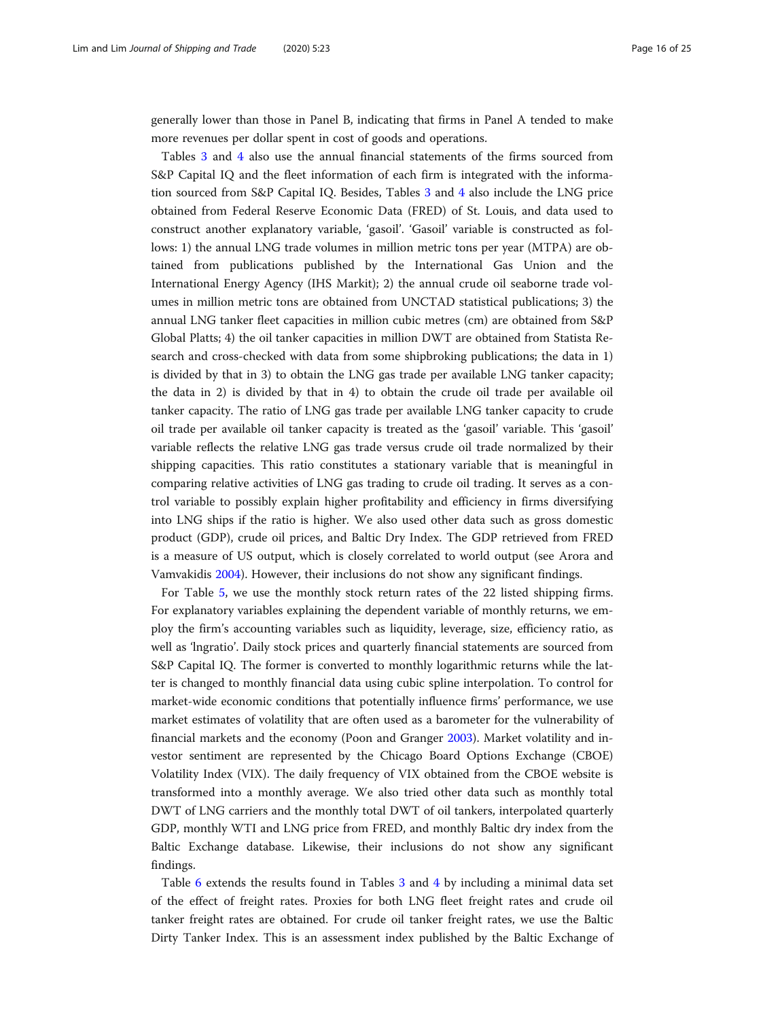generally lower than those in Panel B, indicating that firms in Panel A tended to make more revenues per dollar spent in cost of goods and operations.

Tables [3](#page-10-0) and [4](#page-11-0) also use the annual financial statements of the firms sourced from S&P Capital IQ and the fleet information of each firm is integrated with the information sourced from S&P Capital IQ. Besides, Tables [3](#page-10-0) and [4](#page-11-0) also include the LNG price obtained from Federal Reserve Economic Data (FRED) of St. Louis, and data used to construct another explanatory variable, 'gasoil'. 'Gasoil' variable is constructed as follows: 1) the annual LNG trade volumes in million metric tons per year (MTPA) are obtained from publications published by the International Gas Union and the International Energy Agency (IHS Markit); 2) the annual crude oil seaborne trade volumes in million metric tons are obtained from UNCTAD statistical publications; 3) the annual LNG tanker fleet capacities in million cubic metres (cm) are obtained from S&P Global Platts; 4) the oil tanker capacities in million DWT are obtained from Statista Research and cross-checked with data from some shipbroking publications; the data in 1) is divided by that in 3) to obtain the LNG gas trade per available LNG tanker capacity; the data in 2) is divided by that in 4) to obtain the crude oil trade per available oil tanker capacity. The ratio of LNG gas trade per available LNG tanker capacity to crude oil trade per available oil tanker capacity is treated as the 'gasoil' variable. This 'gasoil' variable reflects the relative LNG gas trade versus crude oil trade normalized by their shipping capacities. This ratio constitutes a stationary variable that is meaningful in comparing relative activities of LNG gas trading to crude oil trading. It serves as a control variable to possibly explain higher profitability and efficiency in firms diversifying into LNG ships if the ratio is higher. We also used other data such as gross domestic product (GDP), crude oil prices, and Baltic Dry Index. The GDP retrieved from FRED is a measure of US output, which is closely correlated to world output (see Arora and Vamvakidis [2004](#page-22-0)). However, their inclusions do not show any significant findings.

For Table [5](#page-11-0), we use the monthly stock return rates of the 22 listed shipping firms. For explanatory variables explaining the dependent variable of monthly returns, we employ the firm's accounting variables such as liquidity, leverage, size, efficiency ratio, as well as 'lngratio'. Daily stock prices and quarterly financial statements are sourced from S&P Capital IQ. The former is converted to monthly logarithmic returns while the latter is changed to monthly financial data using cubic spline interpolation. To control for market-wide economic conditions that potentially influence firms' performance, we use market estimates of volatility that are often used as a barometer for the vulnerability of financial markets and the economy (Poon and Granger [2003](#page-23-0)). Market volatility and investor sentiment are represented by the Chicago Board Options Exchange (CBOE) Volatility Index (VIX). The daily frequency of VIX obtained from the CBOE website is transformed into a monthly average. We also tried other data such as monthly total DWT of LNG carriers and the monthly total DWT of oil tankers, interpolated quarterly GDP, monthly WTI and LNG price from FRED, and monthly Baltic dry index from the Baltic Exchange database. Likewise, their inclusions do not show any significant findings.

Table [6](#page-12-0) extends the results found in Tables [3](#page-10-0) and [4](#page-11-0) by including a minimal data set of the effect of freight rates. Proxies for both LNG fleet freight rates and crude oil tanker freight rates are obtained. For crude oil tanker freight rates, we use the Baltic Dirty Tanker Index. This is an assessment index published by the Baltic Exchange of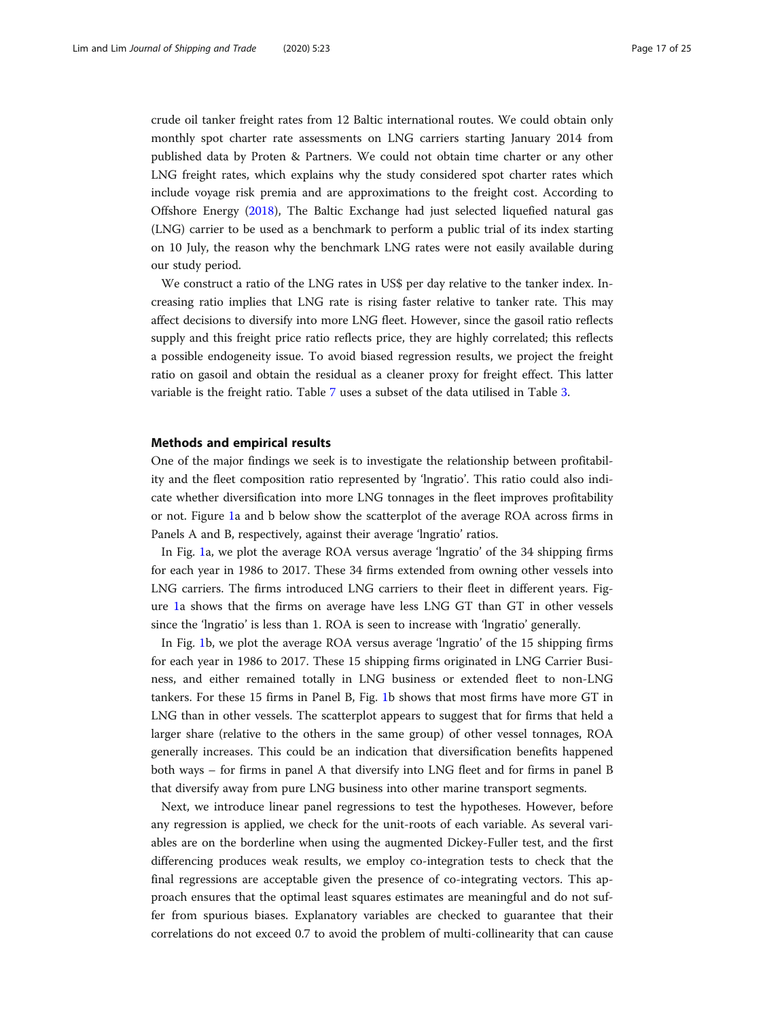<span id="page-16-0"></span>crude oil tanker freight rates from 12 Baltic international routes. We could obtain only monthly spot charter rate assessments on LNG carriers starting January 2014 from published data by Proten & Partners. We could not obtain time charter or any other LNG freight rates, which explains why the study considered spot charter rates which include voyage risk premia and are approximations to the freight cost. According to Offshore Energy ([2018\)](#page-23-0), The Baltic Exchange had just selected liquefied natural gas (LNG) carrier to be used as a benchmark to perform a public trial of its index starting on 10 July, the reason why the benchmark LNG rates were not easily available during our study period.

We construct a ratio of the LNG rates in US\$ per day relative to the tanker index. Increasing ratio implies that LNG rate is rising faster relative to tanker rate. This may affect decisions to diversify into more LNG fleet. However, since the gasoil ratio reflects supply and this freight price ratio reflects price, they are highly correlated; this reflects a possible endogeneity issue. To avoid biased regression results, we project the freight ratio on gasoil and obtain the residual as a cleaner proxy for freight effect. This latter variable is the freight ratio. Table [7](#page-12-0) uses a subset of the data utilised in Table [3.](#page-10-0)

#### Methods and empirical results

One of the major findings we seek is to investigate the relationship between profitability and the fleet composition ratio represented by 'lngratio'. This ratio could also indicate whether diversification into more LNG tonnages in the fleet improves profitability or not. Figure [1a](#page-13-0) and b below show the scatterplot of the average ROA across firms in Panels A and B, respectively, against their average 'Ingratio' ratios.

In Fig. [1](#page-13-0)a, we plot the average ROA versus average 'lngratio' of the 34 shipping firms for each year in 1986 to 2017. These 34 firms extended from owning other vessels into LNG carriers. The firms introduced LNG carriers to their fleet in different years. Figure [1](#page-13-0)a shows that the firms on average have less LNG GT than GT in other vessels since the 'lngratio' is less than 1. ROA is seen to increase with 'lngratio' generally.

In Fig. [1](#page-13-0)b, we plot the average ROA versus average 'lngratio' of the 15 shipping firms for each year in 1986 to 2017. These 15 shipping firms originated in LNG Carrier Business, and either remained totally in LNG business or extended fleet to non-LNG tankers. For these 15 firms in Panel B, Fig. [1](#page-13-0)b shows that most firms have more GT in LNG than in other vessels. The scatterplot appears to suggest that for firms that held a larger share (relative to the others in the same group) of other vessel tonnages, ROA generally increases. This could be an indication that diversification benefits happened both ways – for firms in panel A that diversify into LNG fleet and for firms in panel B that diversify away from pure LNG business into other marine transport segments.

Next, we introduce linear panel regressions to test the hypotheses. However, before any regression is applied, we check for the unit-roots of each variable. As several variables are on the borderline when using the augmented Dickey-Fuller test, and the first differencing produces weak results, we employ co-integration tests to check that the final regressions are acceptable given the presence of co-integrating vectors. This approach ensures that the optimal least squares estimates are meaningful and do not suffer from spurious biases. Explanatory variables are checked to guarantee that their correlations do not exceed 0.7 to avoid the problem of multi-collinearity that can cause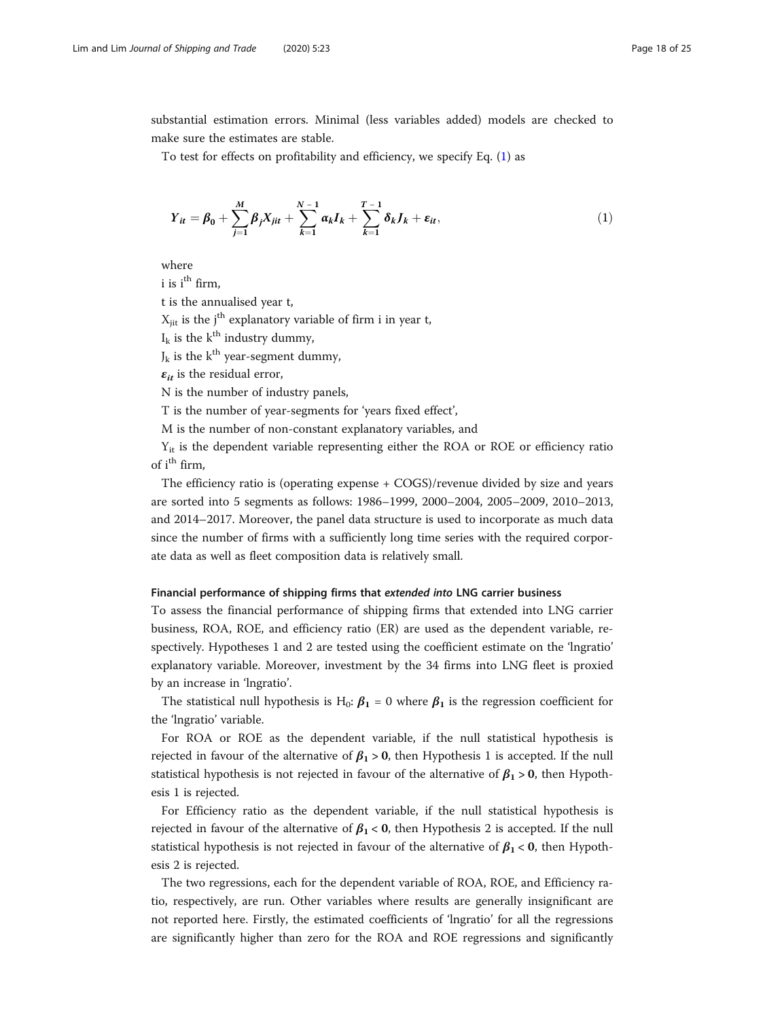<span id="page-17-0"></span>substantial estimation errors. Minimal (less variables added) models are checked to make sure the estimates are stable.

To test for effects on profitability and efficiency, we specify Eq. (1) as

$$
Y_{it} = \beta_0 + \sum_{j=1}^{M} \beta_j X_{jit} + \sum_{k=1}^{N-1} \alpha_k I_k + \sum_{k=1}^{T-1} \delta_k J_k + \varepsilon_{it},
$$
 (1)

where

 $i$  is  $i$ <sup>th</sup> firm,

t is the annualised year t,

 $X_{\text{iit}}$  is the j<sup>th</sup> explanatory variable of firm i in year t,

 $I_k$  is the  $k^{\text{th}}$  industry dummy,

 $J_k$  is the k<sup>th</sup> year-segment dummy,

 $\varepsilon_{it}$  is the residual error,

N is the number of industry panels,

T is the number of year-segments for 'years fixed effect',

M is the number of non-constant explanatory variables, and

 $Y_{it}$  is the dependent variable representing either the ROA or ROE or efficiency ratio of i<sup>th</sup> firm,

The efficiency ratio is (operating expense + COGS)/revenue divided by size and years are sorted into 5 segments as follows: 1986–1999, 2000–2004, 2005–2009, 2010–2013, and 2014–2017. Moreover, the panel data structure is used to incorporate as much data since the number of firms with a sufficiently long time series with the required corporate data as well as fleet composition data is relatively small.

### Financial performance of shipping firms that extended into LNG carrier business

To assess the financial performance of shipping firms that extended into LNG carrier business, ROA, ROE, and efficiency ratio (ER) are used as the dependent variable, respectively. Hypotheses 1 and 2 are tested using the coefficient estimate on the 'lngratio' explanatory variable. Moreover, investment by the 34 firms into LNG fleet is proxied by an increase in 'lngratio'.

The statistical null hypothesis is H<sub>0</sub>:  $\beta_1 = 0$  where  $\beta_1$  is the regression coefficient for the 'lngratio' variable.

For ROA or ROE as the dependent variable, if the null statistical hypothesis is rejected in favour of the alternative of  $\beta_1 > 0$ , then Hypothesis 1 is accepted. If the null statistical hypothesis is not rejected in favour of the alternative of  $\beta_1 > 0$ , then Hypothesis 1 is rejected.

For Efficiency ratio as the dependent variable, if the null statistical hypothesis is rejected in favour of the alternative of  $\beta_1 < 0$ , then Hypothesis 2 is accepted. If the null statistical hypothesis is not rejected in favour of the alternative of  $\beta_1 < 0$ , then Hypothesis 2 is rejected.

The two regressions, each for the dependent variable of ROA, ROE, and Efficiency ratio, respectively, are run. Other variables where results are generally insignificant are not reported here. Firstly, the estimated coefficients of 'lngratio' for all the regressions are significantly higher than zero for the ROA and ROE regressions and significantly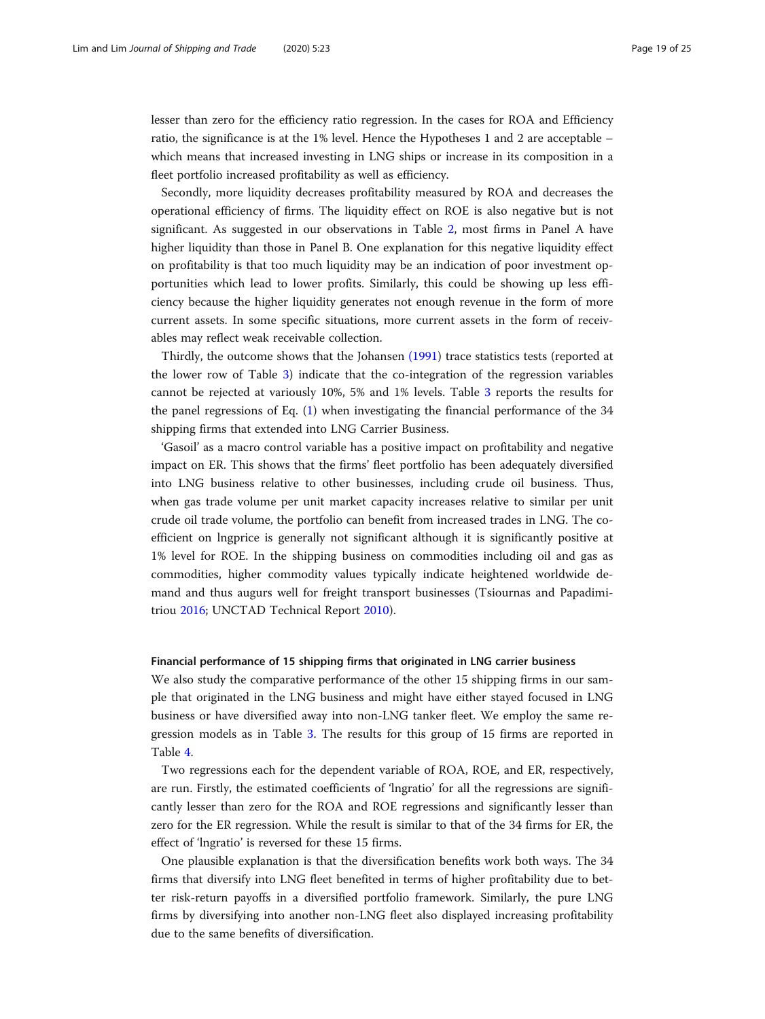lesser than zero for the efficiency ratio regression. In the cases for ROA and Efficiency ratio, the significance is at the 1% level. Hence the Hypotheses 1 and 2 are acceptable – which means that increased investing in LNG ships or increase in its composition in a fleet portfolio increased profitability as well as efficiency.

Secondly, more liquidity decreases profitability measured by ROA and decreases the operational efficiency of firms. The liquidity effect on ROE is also negative but is not significant. As suggested in our observations in Table [2,](#page-10-0) most firms in Panel A have higher liquidity than those in Panel B. One explanation for this negative liquidity effect on profitability is that too much liquidity may be an indication of poor investment opportunities which lead to lower profits. Similarly, this could be showing up less efficiency because the higher liquidity generates not enough revenue in the form of more current assets. In some specific situations, more current assets in the form of receivables may reflect weak receivable collection.

Thirdly, the outcome shows that the Johansen [\(1991\)](#page-23-0) trace statistics tests (reported at the lower row of Table [3](#page-10-0)) indicate that the co-integration of the regression variables cannot be rejected at variously 10%, 5% and 1% levels. Table [3](#page-10-0) reports the results for the panel regressions of Eq. ([1\)](#page-17-0) when investigating the financial performance of the 34 shipping firms that extended into LNG Carrier Business.

'Gasoil' as a macro control variable has a positive impact on profitability and negative impact on ER. This shows that the firms' fleet portfolio has been adequately diversified into LNG business relative to other businesses, including crude oil business. Thus, when gas trade volume per unit market capacity increases relative to similar per unit crude oil trade volume, the portfolio can benefit from increased trades in LNG. The coefficient on lngprice is generally not significant although it is significantly positive at 1% level for ROE. In the shipping business on commodities including oil and gas as commodities, higher commodity values typically indicate heightened worldwide demand and thus augurs well for freight transport businesses (Tsiournas and Papadimitriou [2016](#page-24-0); UNCTAD Technical Report [2010](#page-24-0)).

#### Financial performance of 15 shipping firms that originated in LNG carrier business

We also study the comparative performance of the other 15 shipping firms in our sample that originated in the LNG business and might have either stayed focused in LNG business or have diversified away into non-LNG tanker fleet. We employ the same regression models as in Table [3](#page-10-0). The results for this group of 15 firms are reported in Table [4](#page-11-0).

Two regressions each for the dependent variable of ROA, ROE, and ER, respectively, are run. Firstly, the estimated coefficients of 'lngratio' for all the regressions are significantly lesser than zero for the ROA and ROE regressions and significantly lesser than zero for the ER regression. While the result is similar to that of the 34 firms for ER, the effect of 'lngratio' is reversed for these 15 firms.

One plausible explanation is that the diversification benefits work both ways. The 34 firms that diversify into LNG fleet benefited in terms of higher profitability due to better risk-return payoffs in a diversified portfolio framework. Similarly, the pure LNG firms by diversifying into another non-LNG fleet also displayed increasing profitability due to the same benefits of diversification.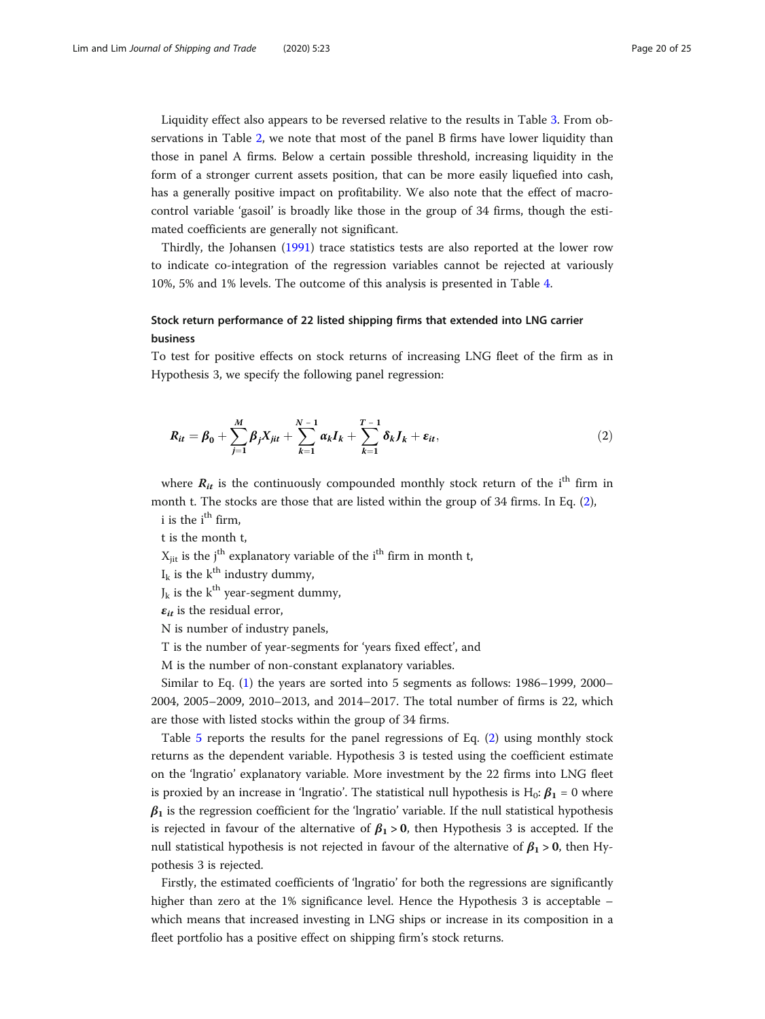Liquidity effect also appears to be reversed relative to the results in Table [3.](#page-10-0) From observations in Table [2](#page-10-0), we note that most of the panel B firms have lower liquidity than those in panel A firms. Below a certain possible threshold, increasing liquidity in the form of a stronger current assets position, that can be more easily liquefied into cash, has a generally positive impact on profitability. We also note that the effect of macrocontrol variable 'gasoil' is broadly like those in the group of 34 firms, though the estimated coefficients are generally not significant.

Thirdly, the Johansen [\(1991\)](#page-23-0) trace statistics tests are also reported at the lower row to indicate co-integration of the regression variables cannot be rejected at variously 10%, 5% and 1% levels. The outcome of this analysis is presented in Table [4](#page-11-0).

# Stock return performance of 22 listed shipping firms that extended into LNG carrier business

To test for positive effects on stock returns of increasing LNG fleet of the firm as in Hypothesis 3, we specify the following panel regression:

$$
R_{it} = \beta_0 + \sum_{j=1}^{M} \beta_j X_{jit} + \sum_{k=1}^{N-1} \alpha_k I_k + \sum_{k=1}^{T-1} \delta_k J_k + \varepsilon_{it},
$$
 (2)

where  $R_{it}$  is the continuously compounded monthly stock return of the i<sup>th</sup> firm in month t. The stocks are those that are listed within the group of 34 firms. In Eq. (2), i is the  $i<sup>th</sup>$  firm.

t is the month t,

 $X_{\text{ijt}}$  is the j<sup>th</sup> explanatory variable of the i<sup>th</sup> firm in month t,

 $I_k$  is the  $k^{\text{th}}$  industry dummy,

 $J_k$  is the k<sup>th</sup> year-segment dummy,

 $\varepsilon_{it}$  is the residual error,

N is number of industry panels,

T is the number of year-segments for 'years fixed effect', and

M is the number of non-constant explanatory variables.

Similar to Eq. [\(1](#page-17-0)) the years are sorted into 5 segments as follows: 1986–1999, 2000– 2004, 2005–2009, 2010–2013, and 2014–2017. The total number of firms is 22, which are those with listed stocks within the group of 34 firms.

Table [5](#page-11-0) reports the results for the panel regressions of Eq. (2) using monthly stock returns as the dependent variable. Hypothesis 3 is tested using the coefficient estimate on the 'lngratio' explanatory variable. More investment by the 22 firms into LNG fleet is proxied by an increase in 'lngratio'. The statistical null hypothesis is H<sub>0</sub>:  $\beta_1 = 0$  where  $\beta_1$  is the regression coefficient for the 'lngratio' variable. If the null statistical hypothesis is rejected in favour of the alternative of  $\beta_1 > 0$ , then Hypothesis 3 is accepted. If the null statistical hypothesis is not rejected in favour of the alternative of  $\beta_1 > 0$ , then Hypothesis 3 is rejected.

Firstly, the estimated coefficients of 'lngratio' for both the regressions are significantly higher than zero at the 1% significance level. Hence the Hypothesis 3 is acceptable – which means that increased investing in LNG ships or increase in its composition in a fleet portfolio has a positive effect on shipping firm's stock returns.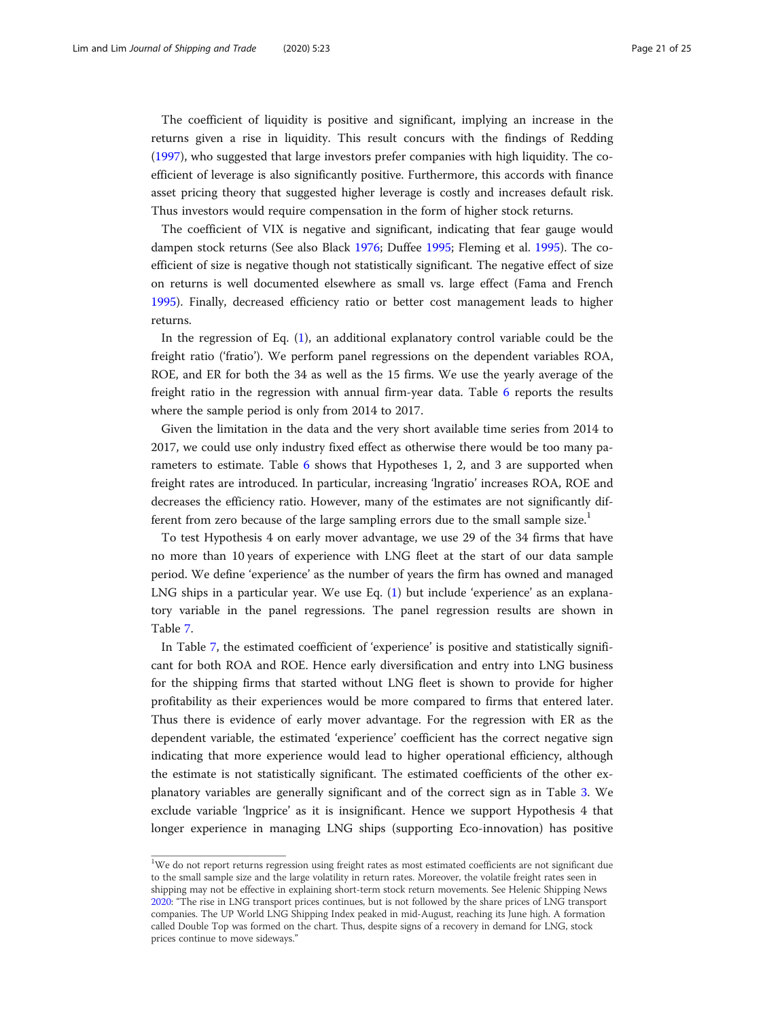The coefficient of liquidity is positive and significant, implying an increase in the returns given a rise in liquidity. This result concurs with the findings of Redding ([1997](#page-23-0)), who suggested that large investors prefer companies with high liquidity. The coefficient of leverage is also significantly positive. Furthermore, this accords with finance asset pricing theory that suggested higher leverage is costly and increases default risk. Thus investors would require compensation in the form of higher stock returns.

The coefficient of VIX is negative and significant, indicating that fear gauge would dampen stock returns (See also Black [1976;](#page-22-0) Duffee [1995](#page-22-0); Fleming et al. [1995](#page-22-0)). The coefficient of size is negative though not statistically significant. The negative effect of size on returns is well documented elsewhere as small vs. large effect (Fama and French [1995](#page-22-0)). Finally, decreased efficiency ratio or better cost management leads to higher returns.

In the regression of Eq. [\(1](#page-17-0)), an additional explanatory control variable could be the freight ratio ('fratio'). We perform panel regressions on the dependent variables ROA, ROE, and ER for both the 34 as well as the 15 firms. We use the yearly average of the freight ratio in the regression with annual firm-year data. Table [6](#page-12-0) reports the results where the sample period is only from 2014 to 2017.

Given the limitation in the data and the very short available time series from 2014 to 2017, we could use only industry fixed effect as otherwise there would be too many parameters to estimate. Table [6](#page-12-0) shows that Hypotheses 1, 2, and 3 are supported when freight rates are introduced. In particular, increasing 'lngratio' increases ROA, ROE and decreases the efficiency ratio. However, many of the estimates are not significantly different from zero because of the large sampling errors due to the small sample size.<sup>1</sup>

To test Hypothesis 4 on early mover advantage, we use 29 of the 34 firms that have no more than 10 years of experience with LNG fleet at the start of our data sample period. We define 'experience' as the number of years the firm has owned and managed LNG ships in a particular year. We use Eq. ([1\)](#page-17-0) but include 'experience' as an explanatory variable in the panel regressions. The panel regression results are shown in Table [7](#page-12-0).

In Table [7,](#page-12-0) the estimated coefficient of 'experience' is positive and statistically significant for both ROA and ROE. Hence early diversification and entry into LNG business for the shipping firms that started without LNG fleet is shown to provide for higher profitability as their experiences would be more compared to firms that entered later. Thus there is evidence of early mover advantage. For the regression with ER as the dependent variable, the estimated 'experience' coefficient has the correct negative sign indicating that more experience would lead to higher operational efficiency, although the estimate is not statistically significant. The estimated coefficients of the other explanatory variables are generally significant and of the correct sign as in Table [3](#page-10-0). We exclude variable 'lngprice' as it is insignificant. Hence we support Hypothesis 4 that longer experience in managing LNG ships (supporting Eco-innovation) has positive

<sup>&</sup>lt;sup>1</sup>We do not report returns regression using freight rates as most estimated coefficients are not significant due to the small sample size and the large volatility in return rates. Moreover, the volatile freight rates seen in shipping may not be effective in explaining short-term stock return movements. See Helenic Shipping News [2020](#page-23-0): "The rise in LNG transport prices continues, but is not followed by the share prices of LNG transport companies. The UP World LNG Shipping Index peaked in mid-August, reaching its June high. A formation called Double Top was formed on the chart. Thus, despite signs of a recovery in demand for LNG, stock prices continue to move sideways."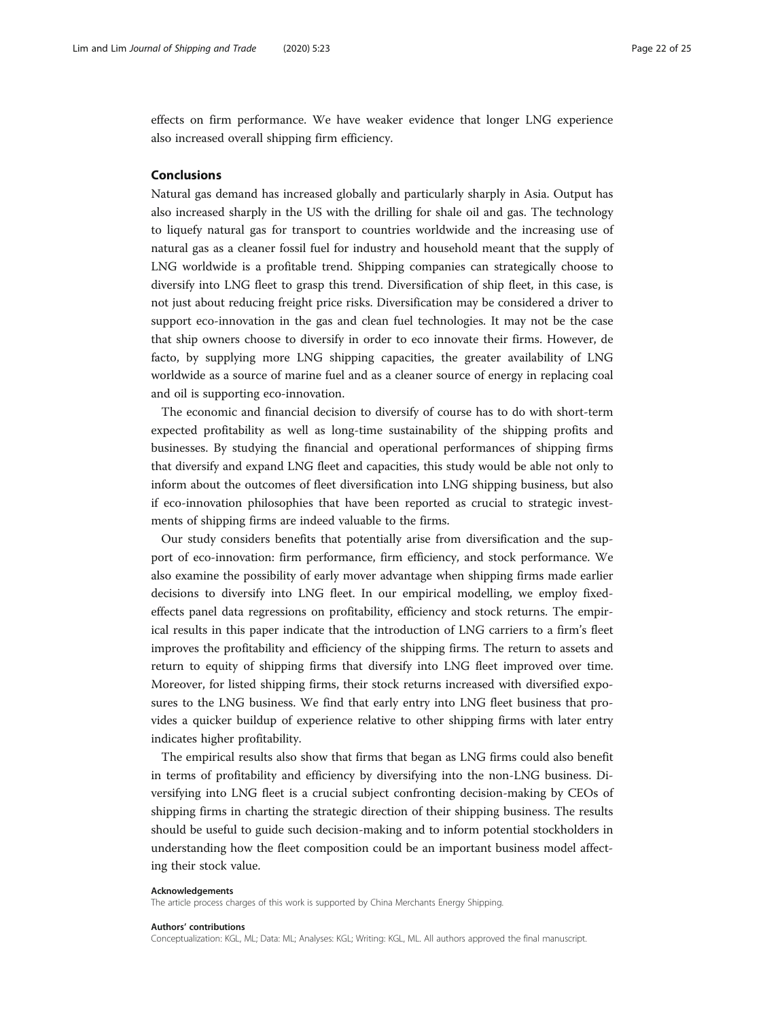<span id="page-21-0"></span>effects on firm performance. We have weaker evidence that longer LNG experience also increased overall shipping firm efficiency.

### Conclusions

Natural gas demand has increased globally and particularly sharply in Asia. Output has also increased sharply in the US with the drilling for shale oil and gas. The technology to liquefy natural gas for transport to countries worldwide and the increasing use of natural gas as a cleaner fossil fuel for industry and household meant that the supply of LNG worldwide is a profitable trend. Shipping companies can strategically choose to diversify into LNG fleet to grasp this trend. Diversification of ship fleet, in this case, is not just about reducing freight price risks. Diversification may be considered a driver to support eco-innovation in the gas and clean fuel technologies. It may not be the case that ship owners choose to diversify in order to eco innovate their firms. However, de facto, by supplying more LNG shipping capacities, the greater availability of LNG worldwide as a source of marine fuel and as a cleaner source of energy in replacing coal and oil is supporting eco-innovation.

The economic and financial decision to diversify of course has to do with short-term expected profitability as well as long-time sustainability of the shipping profits and businesses. By studying the financial and operational performances of shipping firms that diversify and expand LNG fleet and capacities, this study would be able not only to inform about the outcomes of fleet diversification into LNG shipping business, but also if eco-innovation philosophies that have been reported as crucial to strategic investments of shipping firms are indeed valuable to the firms.

Our study considers benefits that potentially arise from diversification and the support of eco-innovation: firm performance, firm efficiency, and stock performance. We also examine the possibility of early mover advantage when shipping firms made earlier decisions to diversify into LNG fleet. In our empirical modelling, we employ fixedeffects panel data regressions on profitability, efficiency and stock returns. The empirical results in this paper indicate that the introduction of LNG carriers to a firm's fleet improves the profitability and efficiency of the shipping firms. The return to assets and return to equity of shipping firms that diversify into LNG fleet improved over time. Moreover, for listed shipping firms, their stock returns increased with diversified exposures to the LNG business. We find that early entry into LNG fleet business that provides a quicker buildup of experience relative to other shipping firms with later entry indicates higher profitability.

The empirical results also show that firms that began as LNG firms could also benefit in terms of profitability and efficiency by diversifying into the non-LNG business. Diversifying into LNG fleet is a crucial subject confronting decision-making by CEOs of shipping firms in charting the strategic direction of their shipping business. The results should be useful to guide such decision-making and to inform potential stockholders in understanding how the fleet composition could be an important business model affecting their stock value.

#### Acknowledgements

The article process charges of this work is supported by China Merchants Energy Shipping.

#### Authors' contributions

Conceptualization: KGL, ML; Data: ML; Analyses: KGL; Writing: KGL, ML. All authors approved the final manuscript.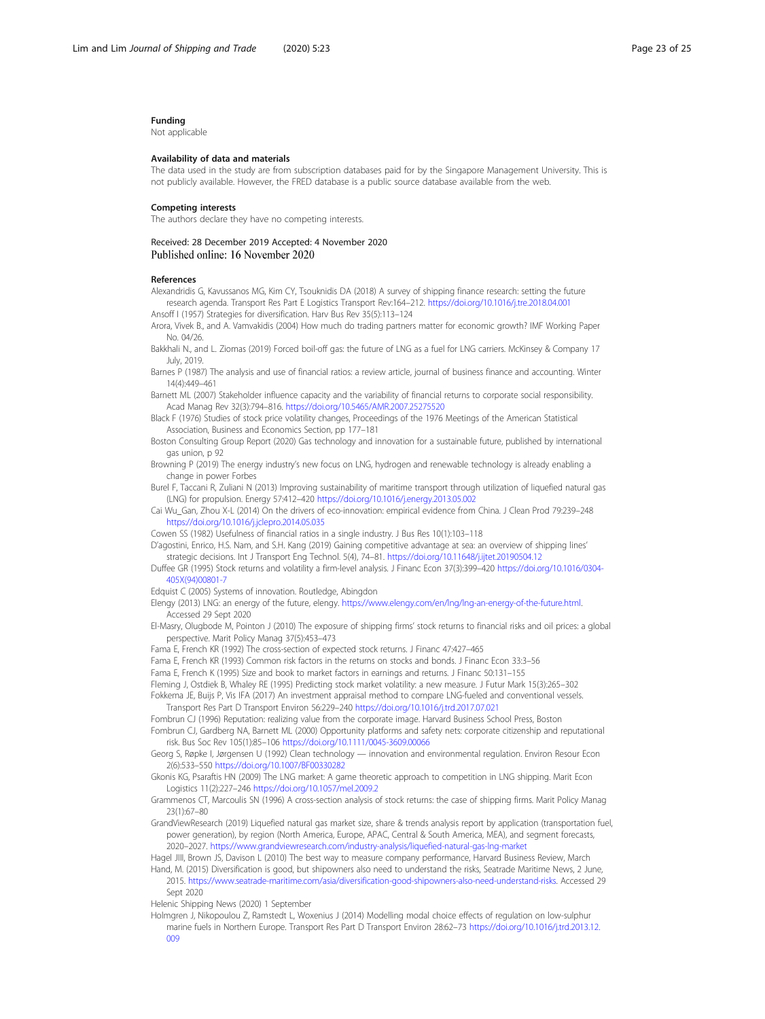#### <span id="page-22-0"></span>Funding

Not applicable

#### Availability of data and materials

The data used in the study are from subscription databases paid for by the Singapore Management University. This is not publicly available. However, the FRED database is a public source database available from the web.

#### Competing interests

The authors declare they have no competing interests.

#### Received: 28 December 2019 Accepted: 4 November 2020 Published online: 16 November 2020

#### References

Alexandridis G, Kavussanos MG, Kim CY, Tsouknidis DA (2018) A survey of shipping finance research: setting the future research agenda. Transport Res Part E Logistics Transport Rev:164–212. <https://doi.org/10.1016/j.tre.2018.04.001>

Ansoff I (1957) Strategies for diversification. Harv Bus Rev 35(5):113–124 Arora, Vivek B., and A. Vamvakidis (2004) How much do trading partners matter for economic growth? IMF Working Paper

No. 04/26.

Bakkhali N., and L. Ziomas (2019) Forced boil-off gas: the future of LNG as a fuel for LNG carriers. McKinsey & Company 17 July, 2019.

Barnes P (1987) The analysis and use of financial ratios: a review article, journal of business finance and accounting. Winter 14(4):449–461

Barnett ML (2007) Stakeholder influence capacity and the variability of financial returns to corporate social responsibility. Acad Manag Rev 32(3):794–816. <https://doi.org/10.5465/AMR.2007.25275520>

Black F (1976) Studies of stock price volatility changes, Proceedings of the 1976 Meetings of the American Statistical Association, Business and Economics Section, pp 177–181

Boston Consulting Group Report (2020) Gas technology and innovation for a sustainable future, published by international gas union, p 92

Browning P (2019) The energy industry's new focus on LNG, hydrogen and renewable technology is already enabling a change in power Forbes

Burel F, Taccani R, Zuliani N (2013) Improving sustainability of maritime transport through utilization of liquefied natural gas (LNG) for propulsion. Energy 57:412–420 <https://doi.org/10.1016/j.energy.2013.05.002>

Cai Wu\_Gan, Zhou X-L (2014) On the drivers of eco-innovation: empirical evidence from China. J Clean Prod 79:239–248 <https://doi.org/10.1016/j.jclepro.2014.05.035>

Cowen SS (1982) Usefulness of financial ratios in a single industry. J Bus Res 10(1):103–118

D'agostini, Enrico, H.S. Nam, and S.H. Kang (2019) Gaining competitive advantage at sea: an overview of shipping lines' strategic decisions. Int J Transport Eng Technol. 5(4), 74–81. <https://doi.org/10.11648/j.ijtet.20190504.12>

Duffee GR (1995) Stock returns and volatility a firm-level analysis. J Financ Econ 37(3):399–420 [https://doi.org/10.1016/0304-](https://doi.org/10.1016/0304-405X(94)00801-7) [405X\(94\)00801-7](https://doi.org/10.1016/0304-405X(94)00801-7)

Edquist C (2005) Systems of innovation. Routledge, Abingdon

Elengy (2013) LNG: an energy of the future, elengy. [https://www.elengy.com/en/lng/lng-an-energy-of-the-future.html.](https://www.elengy.com/en/lng/lng-an-energy-of-the-future.html) Accessed 29 Sept 2020

El-Masry, Olugbode M, Pointon J (2010) The exposure of shipping firms' stock returns to financial risks and oil prices: a global perspective. Marit Policy Manag 37(5):453–473

Fama E, French KR (1992) The cross-section of expected stock returns. J Financ 47:427–465

Fama E, French KR (1993) Common risk factors in the returns on stocks and bonds. J Financ Econ 33:3–56

Fama E, French K (1995) Size and book to market factors in earnings and returns. J Financ 50:131–155

Fleming J, Ostdiek B, Whaley RE (1995) Predicting stock market volatility: a new measure. J Futur Mark 15(3):265–302 Fokkema JE, Buijs P, Vis IFA (2017) An investment appraisal method to compare LNG-fueled and conventional vessels.

Transport Res Part D Transport Environ 56:229–240 <https://doi.org/10.1016/j.trd.2017.07.021>

Fombrun CJ (1996) Reputation: realizing value from the corporate image. Harvard Business School Press, Boston Fombrun CJ, Gardberg NA, Barnett ML (2000) Opportunity platforms and safety nets: corporate citizenship and reputational risk. Bus Soc Rev 105(1):85–106 <https://doi.org/10.1111/0045-3609.00066>

Georg S, Røpke I, Jørgensen U (1992) Clean technology — innovation and environmental regulation. Environ Resour Econ 2(6):533–550 <https://doi.org/10.1007/BF00330282>

Gkonis KG, Psaraftis HN (2009) The LNG market: A game theoretic approach to competition in LNG shipping. Marit Econ Logistics 11(2):227–246 <https://doi.org/10.1057/mel.2009.2>

Grammenos CT, Marcoulis SN (1996) A cross-section analysis of stock returns: the case of shipping firms. Marit Policy Manag 23(1):67–80

GrandViewResearch (2019) Liquefied natural gas market size, share & trends analysis report by application (transportation fuel, power generation), by region (North America, Europe, APAC, Central & South America, MEA), and segment forecasts, 2020–2027. <https://www.grandviewresearch.com/industry-analysis/liquefied-natural-gas-lng-market>

Hagel JIII, Brown JS, Davison L (2010) The best way to measure company performance, Harvard Business Review, March

Hand, M. (2015) Diversification is good, but shipowners also need to understand the risks, Seatrade Maritime News, 2 June, 2015. <https://www.seatrade-maritime.com/asia/diversification-good-shipowners-also-need-understand-risks>. Accessed 29

Sept 2020

Helenic Shipping News (2020) 1 September

Holmgren J, Nikopoulou Z, Ramstedt L, Woxenius J (2014) Modelling modal choice effects of regulation on low-sulphur marine fuels in Northern Europe. Transport Res Part D Transport Environ 28:62–73 [https://doi.org/10.1016/j.trd.2013.12.](https://doi.org/10.1016/j.trd.2013.12.009) [009](https://doi.org/10.1016/j.trd.2013.12.009)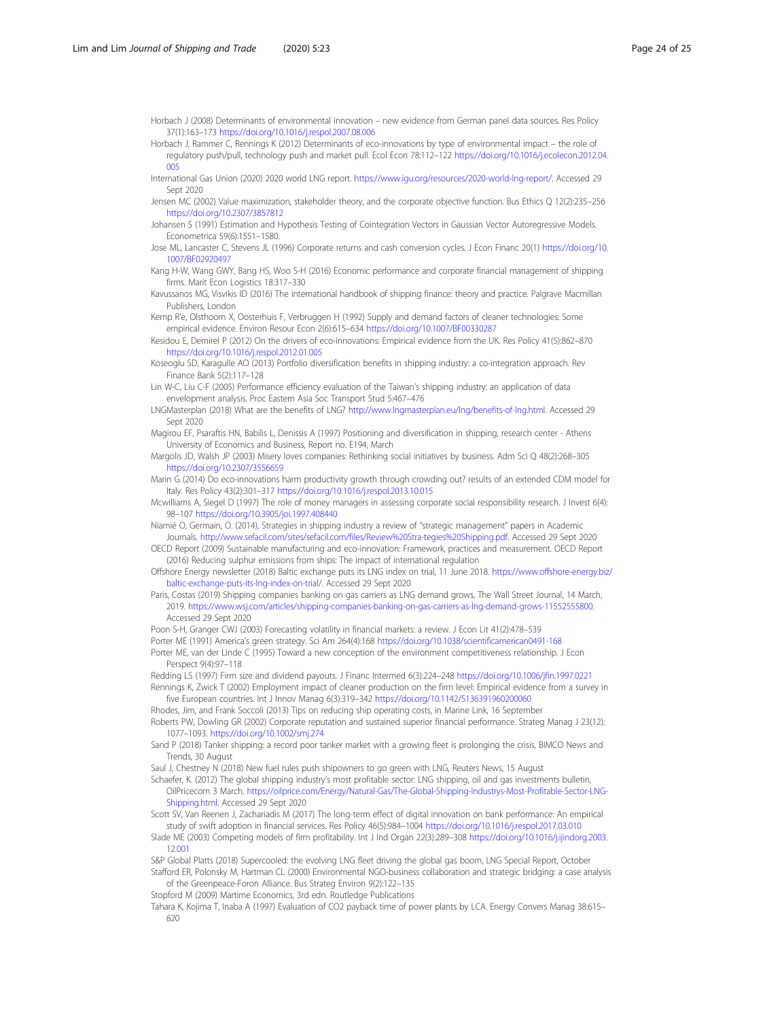<span id="page-23-0"></span>Horbach J (2008) Determinants of environmental innovation – new evidence from German panel data sources. Res Policy 37(1):163–173 <https://doi.org/10.1016/j.respol.2007.08.006>

Horbach J, Rammer C, Rennings K (2012) Determinants of eco-innovations by type of environmental impact – the role of regulatory push/pull, technology push and market pull. Ecol Econ 78:112–122 [https://doi.org/10.1016/j.ecolecon.2012.04.](https://doi.org/10.1016/j.ecolecon.2012.04.005) [005](https://doi.org/10.1016/j.ecolecon.2012.04.005)

International Gas Union (2020) 2020 world LNG report. [https://www.igu.org/resources/2020-world-lng-report/.](https://www.igu.org/resources/2020-world-lng-report/) Accessed 29 Sept 2020

Jensen MC (2002) Value maximization, stakeholder theory, and the corporate objective function. Bus Ethics Q 12(2):235–256 <https://doi.org/10.2307/3857812>

Johansen S (1991) Estimation and Hypothesis Testing of Cointegration Vectors in Gaussian Vector Autoregressive Models. Econometrica 59(6):1551–1580.

Jose ML, Lancaster C, Stevens JL (1996) Corporate returns and cash conversion cycles. J Econ Financ 20(1) [https://doi.org/10.](https://doi.org/10.1007/BF02920497) [1007/BF02920497](https://doi.org/10.1007/BF02920497)

Kang H-W, Wang GWY, Bang HS, Woo S-H (2016) Economic performance and corporate financial management of shipping firms. Marit Fcon Logistics 18:317-330

Kavussanos MG, Visvikis ID (2016) The international handbook of shipping finance: theory and practice. Palgrave Macmillan Publishers, London

Kemp R'e, Olsthoorn X, Oosterhuis F, Verbruggen H (1992) Supply and demand factors of cleaner technologies: Some empirical evidence. Environ Resour Econ 2(6):615–634 <https://doi.org/10.1007/BF00330287>

Kesidou E, Demirel P (2012) On the drivers of eco-innovations: Empirical evidence from the UK. Res Policy 41(5):862–870 <https://doi.org/10.1016/j.respol.2012.01.005>

Koseoglu SD, Karagulle AO (2013) Portfolio diversification benefits in shipping industry: a co-integration approach. Rev Finance Bank 5(2):117–128

Lin W-C, Liu C-F (2005) Performance efficiency evaluation of the Taiwan's shipping industry: an application of data envelopment analysis. Proc Eastern Asia Soc Transport Stud 5:467–476

LNGMasterplan (2018) What are the benefits of LNG? [http://www.lngmasterplan.eu/lng/benefits-of-lng.html.](http://www.lngmasterplan.eu/lng/benefits-of-lng.html) Accessed 29 Sept 2020

Magirou EF, Psaraftis HN, Babilis L, Denissis A (1997) Positioning and diversification in shipping, research center - Athens University of Economics and Business, Report no. E194, March

Margolis JD, Walsh JP (2003) Misery loves companies: Rethinking social initiatives by business. Adm Sci Q 48(2):268–305 <https://doi.org/10.2307/3556659>

Marin G (2014) Do eco-innovations harm productivity growth through crowding out? results of an extended CDM model for Italy. Res Policy 43(2):301–317 <https://doi.org/10.1016/j.respol.2013.10.015>

Mcwilliams A, Siegel D (1997) The role of money managers in assessing corporate social responsibility research. J Invest 6(4): 98–107 <https://doi.org/10.3905/joi.1997.408440>

Niamié O, Germain, O. (2014), Strategies in shipping industry a review of "strategic management" papers in Academic Journals. <http://www.sefacil.com/sites/sefacil.com/files/Review%20Stra-tegies%20Shipping.pdf>. Accessed 29 Sept 2020

OECD Report (2009) Sustainable manufacturing and eco-innovation: Framework, practices and measurement. OECD Report (2016) Reducing sulphur emissions from ships: The impact of international regulation

Offshore Energy newsletter (2018) Baltic exchange puts its LNG index on trial, 11 June 2018. [https://www.offshore-energy.biz/](https://www.offshore-energy.biz/baltic-exchange-puts-its-lng-index-on-trial/) [baltic-exchange-puts-its-lng-index-on-trial/.](https://www.offshore-energy.biz/baltic-exchange-puts-its-lng-index-on-trial/) Accessed 29 Sept 2020

Paris, Costas (2019) Shipping companies banking on gas carriers as LNG demand grows, The Wall Street Journal, 14 March, 2019. [https://www.wsj.com/articles/shipping-companies-banking-on-gas-carriers-as-lng-demand-grows-11552555800.](https://www.wsj.com/articles/shipping-companies-banking-on-gas-carriers-as-lng-demand-grows-11552555800) Accessed 29 Sept 2020

Poon S-H, Granger CWJ (2003) Forecasting volatility in financial markets: a review. J Econ Lit 41(2):478–539

Porter ME (1991) America's green strategy. Sci Am 264(4):168 <https://doi.org/10.1038/scientificamerican0491-168>

Porter ME, van der Linde C (1995) Toward a new conception of the environment competitiveness relationship. J Econ Perspect 9(4):97–118

Redding LS (1997) Firm size and dividend payouts. J Financ Intermed 6(3):224–248 <https://doi.org/10.1006/jfin.1997.0221> Rennings K, Zwick T (2002) Employment impact of cleaner production on the firm level: Empirical evidence from a survey in five European countries. Int J Innov Manag 6(3):319–342 <https://doi.org/10.1142/S136391960200060>

Rhodes, Jim, and Frank Soccoli (2013) Tips on reducing ship operating costs, in Marine Link, 16 September

Roberts PW, Dowling GR (2002) Corporate reputation and sustained superior financial performance. Strateg Manag J 23(12): 1077–1093. <https://doi.org/10.1002/smj.274>

Sand P (2018) Tanker shipping: a record poor tanker market with a growing fleet is prolonging the crisis, BIMCO News and Trends, 30 August

Saul J, Chestney N (2018) New fuel rules push shipowners to go green with LNG, Reuters News, 15 August

Schaefer, K. (2012) The global shipping industry's most profitable sector: LNG shipping, oil and gas investments bulletin, OilPricecom 3 March. [https://oilprice.com/Energy/Natural-Gas/The-Global-Shipping-Industrys-Most-Profitable-Sector-LNG-](https://oilprice.com/Energy/Natural-Gas/The-Global-Shipping-Industrys-Most-Profitable-Sector-LNG-Shipping.html)[Shipping.html](https://oilprice.com/Energy/Natural-Gas/The-Global-Shipping-Industrys-Most-Profitable-Sector-LNG-Shipping.html). Accessed 29 Sept 2020

Scott SV, Van Reenen J, Zachariadis M (2017) The long-term effect of digital innovation on bank performance: An empirical study of swift adoption in financial services. Res Policy 46(5):984–1004 <https://doi.org/10.1016/j.respol.2017.03.010>

Slade ME (2003) Competing models of firm profitability. Int J Ind Organ 22(3):289–308 [https://doi.org/10.1016/j.ijindorg.2003.](https://doi.org/10.1016/j.ijindorg.2003.12.001) [12.001](https://doi.org/10.1016/j.ijindorg.2003.12.001)

S&P Global Platts (2018) Supercooled: the evolving LNG fleet driving the global gas boom, LNG Special Report, October Stafford ER, Polonsky M, Hartman CL (2000) Environmental NGO-business collaboration and strategic bridging: a case analysis

of the Greenpeace-Foron Alliance. Bus Strateg Environ 9(2):122–135

Stopford M (2009) Martime Economics, 3rd edn. Routledge Publications

Tahara K, Kojima T, Inaba A (1997) Evaluation of CO2 payback time of power plants by LCA. Energy Convers Manag 38:615– 620